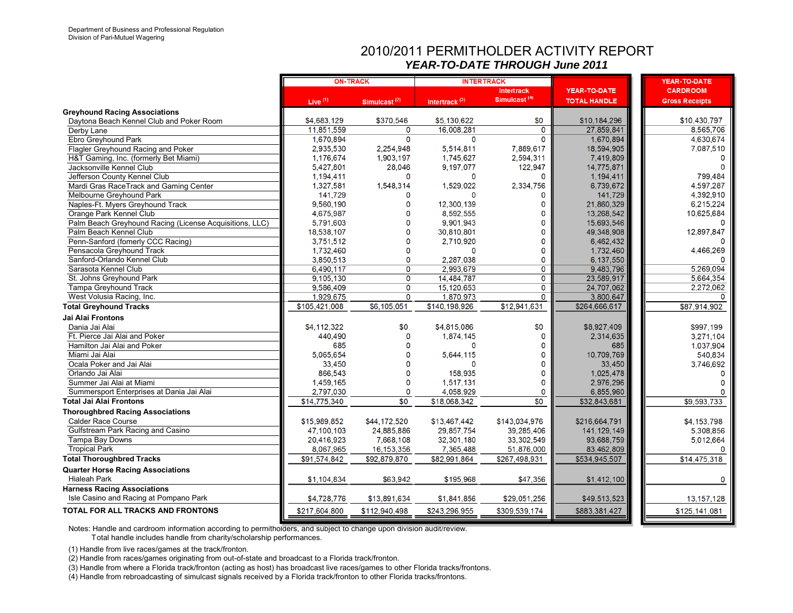## 2010/2011 PERMITHOLDER ACTIVITY REPORT*YEAR-TO-DATE THROUGH June 2011*

|                                                         |               | <b>ON-TRACK</b>          | <b>INTERTRACK</b>         |                          |                     | <b>YEAR-TO-DATE</b>      |
|---------------------------------------------------------|---------------|--------------------------|---------------------------|--------------------------|---------------------|--------------------------|
|                                                         |               |                          |                           | <b>Intertrack</b>        | <b>YEAR-TO-DATE</b> | <b>CARDROOM</b>          |
|                                                         | Live $(1)$    | Simulcast <sup>(2)</sup> | Intertrack <sup>(3)</sup> | Simulcast <sup>(4)</sup> | <b>TOTAL HANDLE</b> | <b>Gross Receipts</b>    |
| <b>Greyhound Racing Associations</b>                    |               |                          |                           |                          |                     |                          |
| Daytona Beach Kennel Club and Poker Room                | \$4,683,129   | \$370,546                | \$5,130,622               | \$0                      | \$10,184,296        | \$10,430,797             |
| Derby Lane                                              | 11,851,559    | 0                        | 16,008,281                | $\mathbf 0$              | 27,859,841          | 8,565,706                |
| Ebro Greyhound Park                                     | 1,670,894     | $\mathbf{0}$             | $\mathbf{0}$              | $\Omega$                 | 1,670,894           | 4,630,674                |
| Flagler Greyhound Racing and Poker                      | 2,935,530     | 2,254,948                | 5,514,811                 | 7,889,617                | 18,594,905          | 7,087,510                |
| H&T Gaming, Inc. (formerly Bet Miami)                   | 1,176,674     | 1,903,197                | 1,745,627                 | 2,594,311                | 7,419,809           |                          |
| Jacksonville Kennel Club                                | 5,427,801     | 28.046                   | 9,197,077                 | 122,947                  | 14,775,871          |                          |
| Jefferson County Kennel Club                            | 1,194,411     | 0                        | $\mathbf{0}$              | $\mathbf{0}$             | 1,194,411           | 799,484                  |
| Mardi Gras RaceTrack and Gaming Center                  | 1,327,581     | 1,548,314                | 1,529,022                 | 2,334,756                | 6,739,672           | 4,597,287                |
| Melbourne Greyhound Park                                | 141,729       | 0                        |                           | o                        | 141,729             | 4,392,910                |
| Naples-Ft. Myers Greyhound Track                        | 9,560,190     | $\Omega$                 | 12,300,139                | 0                        | 21,860,329          | 6,215,224                |
| Orange Park Kennel Club                                 | 4,675,987     | 0                        | 8,592,555                 | 0                        | 13,268,542          | 10,625,684               |
| Palm Beach Greyhound Racing (License Acquisitions, LLC) | 5,791,603     | O                        | 9.901.943                 | 0                        | 15,693,546          |                          |
| Palm Beach Kennel Club                                  | 18,538,107    | O                        | 30,810,801                | $\Omega$                 | 49,348,908          | 12,897,847               |
| Penn-Sanford (fomerly CCC Racing)                       | 3,751,512     | 0                        | 2,710,920                 | 0                        | 6,462,432           |                          |
| Pensacola Greyhound Track                               | 1,732,460     | 0                        | $\Omega$                  | 0                        | 1,732,460           | 4,466,269                |
| Sanford-Orlando Kennel Club                             | 3,850,513     | $\mathbf 0$              | 2,287,038                 | 0                        | 6,137,550           |                          |
| Sarasota Kennel Club                                    | 6,490,117     | $\overline{0}$           | 2,993,679                 | $\overline{\mathbf{0}}$  | 9,483,796           | 5,269,094                |
| St. Johns Greyhound Park                                | 9,105,130     | $\overline{0}$           | 14,484,787                | $\overline{\mathbf{0}}$  | 23,589,917          | 5,664,354                |
| Tampa Greyhound Track                                   | 9,586,409     | $\mathbf 0$              | 15, 120, 653              | $\overline{0}$           | 24,707,062          | 2,272,062                |
| West Volusia Racing, Inc.                               | 1,929,675     | $\mathbf 0$              | 1,870,973                 | $\Omega$                 | 3.800.647           | O                        |
| <b>Total Greyhound Tracks</b>                           | \$105,421,008 | \$6,105,051              | \$140,198,926             | \$12,941,631             | \$264,666,617       | \$87,914,902             |
| Jai Alai Frontons                                       |               |                          |                           |                          |                     |                          |
| Dania Jai Alai                                          | \$4,112,322   | \$0                      | \$4,815,086               | \$0                      | \$8,927,409         | \$997,199                |
| Ft. Pierce Jai Alai and Poker                           | 440.490       | 0                        | 1,874,145                 | 0                        | 2,314,635           | 3,271,104                |
| Hamilton Jai Alai and Poker                             | 685           | $\mathbf{0}$             | $\Omega$                  | 0                        | 685                 | 1,037,904                |
| Miami Jai Alai                                          | 5,065,654     | 0                        | 5,644,115                 | 0                        | 10,709,769          | 540,834                  |
| Ocala Poker and Jai Alai                                | 33,450        | O                        | $\Omega$                  | 0                        | 33,450              | 3,746,692                |
| Orlando Jai Alai                                        | 866,543       | O                        | 158,935                   | 0                        | 1.025,478           |                          |
| Summer Jai Alai at Miami                                | 1,459,165     | 0                        | 1,517,131                 | 0                        | 2,976,296           |                          |
| Summersport Enterprises at Dania Jai Alai               | 2,797,030     | 0                        | 4,058,929                 | $\mathbf{0}$             | 6,855,960           |                          |
| <b>Total Jai Alai Frontons</b>                          | \$14,775,340  | \$0                      | \$18,068,342              | $\overline{30}$          | \$32,843,681        | \$9,593,733              |
| <b>Thoroughbred Racing Associations</b>                 |               |                          |                           |                          |                     |                          |
| <b>Calder Race Course</b>                               | \$15,989,852  | \$44,172,520             | \$13,467,442              | \$143,034,976            | \$216,664,791       | \$4,153,798              |
| Gulfstream Park Racing and Casino                       | 47,100,103    | 24,885,886               | 29,857,754                | 39,285,406               | 141, 129, 149       | 5,308,856                |
| Tampa Bay Downs                                         | 20,416,923    | 7,668,108                | 32,301,180                | 33,302,549               | 93,688,759          | 5,012,664                |
| <b>Tropical Park</b>                                    | 8,067,965     | 16, 153, 356             | 7,365,488                 | 51,876,000               | 83,462,809          |                          |
| <b>Total Thoroughbred Tracks</b>                        | \$91.574.842  | \$92,879,870             | \$82,991,864              | \$267,498,931            | \$534,945,507       | $\overline{$14,475,318}$ |
| <b>Quarter Horse Racing Associations</b>                |               |                          |                           |                          |                     |                          |
| <b>Hialeah Park</b>                                     | \$1,104,834   | \$63,942                 | \$195,968                 | \$47,356                 | \$1,412,100         | $\bf{0}$                 |
| <b>Harness Racing Associations</b>                      |               |                          |                           |                          |                     |                          |
| Isle Casino and Racing at Pompano Park                  | \$4,728,776   | \$13,891,634             | \$1,841,856               | \$29,051,256             | \$49,513,523        | 13, 157, 128             |
| <b>TOTAL FOR ALL TRACKS AND FRONTONS</b>                | \$217,604,800 | \$112,940,498            | \$243,296,955             | \$309,539,174            | \$883,381,427       | \$125,141,081            |

Notes: Handle and cardroom information according to permitholders, and subject to change upon division audit/review.

Total handle includes handle from charity/scholarship performances.

(1) Handle from live races/games at the track/fronton.

(2) Handle from races/games originating from out-of-state and broadcast to a Florida track/fronton.

(3) Handle from where a Florida track/fronton (acting as host) has broadcast live races/games to other Florida tracks/frontons.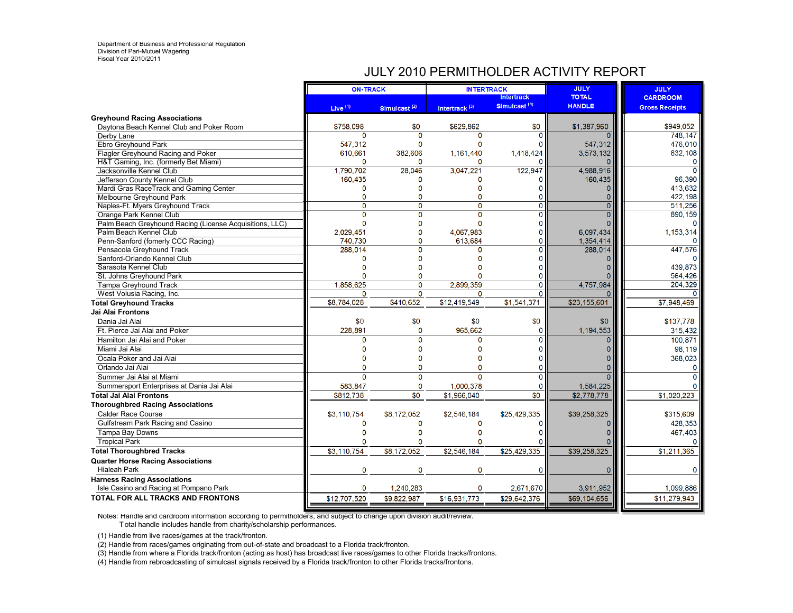## JULY 2010 PERMITHOLDER ACTIVITY REPORT

|                                                         | <b>ON-TRACK</b>           |                          | <b>INTERTRACK</b>         |                                               | <b>JULY</b>                   | <b>JULY</b>           |
|---------------------------------------------------------|---------------------------|--------------------------|---------------------------|-----------------------------------------------|-------------------------------|-----------------------|
|                                                         |                           |                          |                           | <b>Intertrack</b><br>Simulcast <sup>(4)</sup> | <b>TOTAL</b><br><b>HANDLE</b> | <b>CARDROOM</b>       |
|                                                         | Live <sup>(1)</sup>       | Simulcast <sup>(2)</sup> | Intertrack <sup>(3)</sup> |                                               |                               | <b>Gross Receipts</b> |
| <b>Greyhound Racing Associations</b>                    |                           |                          |                           |                                               |                               |                       |
| Daytona Beach Kennel Club and Poker Room<br>Derby Lane  | \$758,098<br>$\mathbf{0}$ | \$0<br>$\Omega$          | \$629,862<br>$\Omega$     | \$0<br>0                                      | \$1,387,960                   | \$949,052<br>748.147  |
| <b>Ebro Greyhound Park</b>                              | 547,312                   | $\Omega$                 | $\Omega$                  | O                                             | 547,312                       | 476,010               |
| Flagler Greyhound Racing and Poker                      | 610,661                   | 382,606                  | 1,161,440                 | 1,418,424                                     | 3,573,132                     | 632,108               |
| H&T Gaming, Inc. (formerly Bet Miami)                   | 0                         | $\Omega$                 | n                         |                                               |                               |                       |
| Jacksonville Kennel Club                                | 1,790,702                 | 28,046                   | 3,047,221                 | 122,947                                       | 4,988,916                     |                       |
| Jefferson County Kennel Club                            | 160,435                   |                          |                           | 0                                             | 160,435                       | 96.390                |
| Mardi Gras RaceTrack and Gaming Center                  | O                         | n                        | n                         | O                                             |                               | 413,632               |
| Melbourne Greyhound Park                                | $\mathbf{0}$              | n                        | n                         |                                               |                               | 422,198               |
| Naples-Ft. Myers Greyhound Track                        | 0                         | $\mathbf 0$              | $\Omega$                  | 0                                             |                               | 511,256               |
| Orange Park Kennel Club                                 | $\overline{0}$            | $\overline{0}$           | $\overline{0}$            | Ō                                             |                               | 890,159               |
| Palm Beach Greyhound Racing (License Acquisitions, LLC) | $\mathbf{0}$              | $\Omega$                 | $\mathbf{0}$              | O                                             |                               | O                     |
| Palm Beach Kennel Club                                  | 2,029,451                 | $\bf{0}$                 | 4.067.983                 | 0                                             | 6,097,434                     | 1,153,314             |
| Penn-Sanford (fomerly CCC Racing)                       | 740.730                   | 0                        | 613,684                   | 0                                             | 1,354,414                     |                       |
| Pensacola Greyhound Track                               | 288,014                   | O                        | O                         | 0                                             | 288,014                       | 447,576               |
| Sanford-Orlando Kennel Club                             | O                         | n                        | O                         | o                                             |                               |                       |
| Sarasota Kennel Club                                    | O                         |                          |                           |                                               |                               | 439.873               |
| St. Johns Greyhound Park                                | O                         | n                        | O                         |                                               |                               | 564,426               |
| Tampa Greyhound Track                                   | 1,858,625                 | 0                        | 2,899,359                 | 0                                             | 4,757,984                     | 204,329               |
| West Volusia Racing, Inc.                               | 0                         | $\mathbf 0$              | 0                         | 0                                             |                               |                       |
| <b>Total Greyhound Tracks</b>                           | \$8.784.028               | \$410,652                | \$12,419,549              | \$1,541,371                                   | \$23,155,601                  | \$7,948,469           |
| Jai Alai Frontons                                       |                           |                          |                           |                                               |                               |                       |
| Dania Jai Alai                                          | \$0                       | \$0                      | \$0                       | \$0                                           | \$0                           | \$137,778             |
| Ft. Pierce Jai Alai and Poker                           | 228,891                   | 0                        | 965,662                   | 0                                             | 1,194,553                     | 315,432               |
| Hamilton Jai Alai and Poker                             | $\Omega$                  | $\Omega$                 | O                         | Ő                                             |                               | 100.871               |
| Miami Jai Alai                                          | 0                         | n                        | $\Omega$                  |                                               |                               | 98.119                |
| Ocala Poker and Jai Alai                                | O                         |                          | O                         |                                               |                               | 368,023               |
| Orlando Jai Alai                                        |                           |                          |                           | Ō                                             |                               |                       |
| Summer Jai Alai at Miami                                | $\Omega$                  | $\mathbf{0}$             | $\Omega$                  | O                                             |                               |                       |
| Summersport Enterprises at Dania Jai Alai               | 583,847                   | 0                        | 1,000,378                 |                                               | 1,584,225                     |                       |
| <b>Total Jai Alai Frontons</b>                          | \$812,738                 | \$0                      | \$1,966,040               | $\overline{30}$                               | \$2,778,778                   | \$1,020,223           |
| <b>Thoroughbred Racing Associations</b>                 |                           |                          |                           |                                               |                               |                       |
| <b>Calder Race Course</b>                               | \$3,110,754               | \$8,172,052              | \$2,546,184               | \$25,429,335                                  | \$39,258,325                  | \$315,609             |
| Gulfstream Park Racing and Casino                       | 0                         | 0                        | $\mathbf 0$               | 0                                             |                               | 428,353               |
| Tampa Bay Downs                                         | $\mathbf{0}$              | O                        | $\Omega$                  |                                               |                               | 467.403               |
| <b>Tropical Park</b>                                    | O                         | O                        | O                         |                                               |                               |                       |
| <b>Total Thoroughbred Tracks</b>                        | \$3,110,754               | \$8,172,052              | \$2,546,184               | \$25,429,335                                  | \$39,258,325                  | \$1,211,365           |
| <b>Quarter Horse Racing Associations</b>                |                           |                          |                           |                                               |                               |                       |
| <b>Hialeah Park</b>                                     | $\mathbf 0$               | $\mathbf 0$              | $\mathbf 0$               | 0                                             | 0                             | $\Omega$              |
| <b>Harness Racing Associations</b>                      |                           |                          |                           |                                               |                               |                       |
| Isle Casino and Racing at Pompano Park                  | $\mathbf 0$               | 1,240,283                | $\mathbf{0}$              | 2,671,670                                     | 3,911,952                     | 1,099,886             |
| <b>TOTAL FOR ALL TRACKS AND FRONTONS</b>                | \$12,707.520              | \$9,822,987              | \$16,931,773              | \$29,642,376                                  | \$69,104,656                  | \$11,279,943          |
|                                                         |                           |                          |                           |                                               |                               |                       |

Notes: Handle and cardroom information according to permitholders, and subject to change upon division audit/review.

T otal handle includes handle from charity/scholarship performances.

(1) Handle from live races/games at the track/fronton.

(2) Handle from races/games originating from out-of-state and broadcast to a Florida track/fronton.

(3) Handle from where a Florida track/fronton (acting as host) has broadcast live races/games to other Florida tracks/frontons.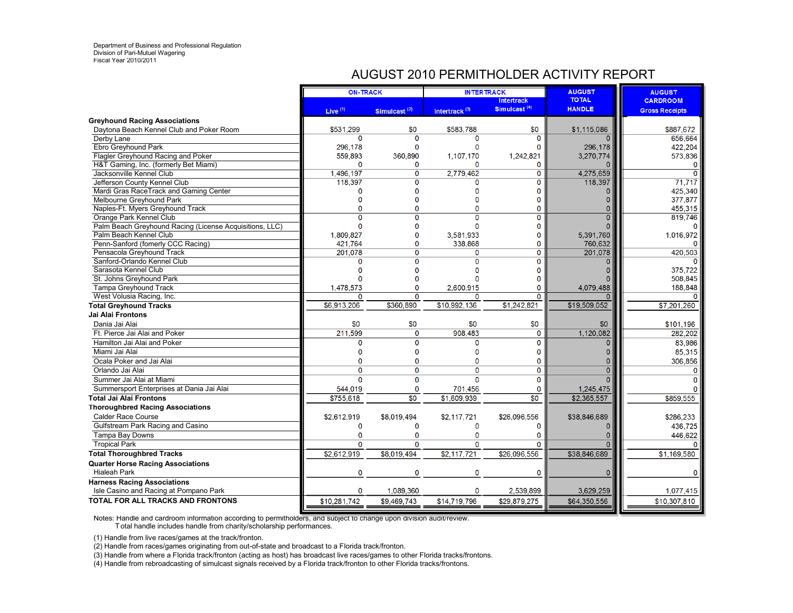## AUGUST 2010 PERMITHOLDER ACTIVITY REPORT

|                                                                                   | <b>ON-TRACK</b>     |                          |                           | <b>INTERTRACK</b>        | <b>AUGUST</b> | <b>AUGUST</b>         |
|-----------------------------------------------------------------------------------|---------------------|--------------------------|---------------------------|--------------------------|---------------|-----------------------|
|                                                                                   |                     |                          |                           | <b>Intertrack</b>        | <b>TOTAL</b>  | <b>CARDROOM</b>       |
|                                                                                   | Live <sup>(1)</sup> | Simulcast <sup>(2)</sup> | Intertrack <sup>(3)</sup> | Simulcast <sup>(4)</sup> | <b>HANDLE</b> | <b>Gross Receipts</b> |
| <b>Greyhound Racing Associations</b>                                              |                     |                          |                           |                          |               |                       |
| Daytona Beach Kennel Club and Poker Room                                          | \$531,299           | \$0                      | \$583,788                 | \$0                      | \$1,115,086   | \$887.672             |
| Derby Lane                                                                        | 0                   | $\Omega$                 | $\Omega$                  | $\Omega$                 |               | 656,664               |
| Ebro Greyhound Park                                                               | 296,178             | $\Omega$                 | $\mathbf 0$               | O                        | 296,178       | 422,204               |
| Flagler Greyhound Racing and Poker                                                | 559.893             | 360.890                  | 1,107,170                 | 1,242,821                | 3,270,774     | 573.836               |
| H&T Gaming, Inc. (formerly Bet Miami)                                             | 0                   | $\mathbf 0$              | $\Omega$                  | $\Omega$                 |               | $\Omega$              |
| Jacksonville Kennel Club                                                          | 1,496,197           | $\mathbf{0}$             | 2,779,462                 | 0                        | 4,275,659     | $\mathbf{0}$          |
| Jefferson County Kennel Club                                                      | 118.397             | $\overline{0}$           | $\mathbf 0$               | $\mathbf 0$              | 118,397       | 71.717                |
| Mardi Gras RaceTrack and Gaming Center                                            | 0                   | $\Omega$                 | $\Omega$<br>$\Omega$      | n                        |               | 425.340               |
| Melbourne Greyhound Park                                                          | $\Omega$<br>0       | $\Omega$<br>$\mathbf 0$  | $\Omega$                  | 0<br>0                   |               | 377,877<br>455,315    |
| Naples-Ft. Myers Greyhound Track                                                  | $\Omega$            | $\Omega$                 | $\Omega$                  | $\mathbf{0}$             | $\Omega$      | 819,746               |
| Orange Park Kennel Club                                                           | 0                   | O                        | $\Omega$                  | O                        |               | $\Omega$              |
| Palm Beach Greyhound Racing (License Acquisitions, LLC)<br>Palm Beach Kennel Club | 1,809,827           | $\Omega$                 | 3,581,933                 | $\Omega$                 | 5,391,760     | 1,016,972             |
| Penn-Sanford (fomerly CCC Racing)                                                 | 421.764             | $\mathbf 0$              | 338,868                   | $\Omega$                 | 760,632       | $\Omega$              |
| Pensacola Greyhound Track                                                         | 201,078             | $\Omega$                 | 0                         | $\Omega$                 | 201,078       | 420,503               |
| Sanford-Orlando Kennel Club                                                       | Ō                   | $\Omega$                 | $\Omega$                  | $\Omega$                 |               |                       |
| Sarasota Kennel Club                                                              | O                   |                          | n                         |                          |               | 375.722               |
| St. Johns Greyhound Park                                                          | O                   |                          | $\Omega$                  | Ω                        |               | 508,845               |
| <b>Tampa Greyhound Track</b>                                                      | 1,478,573           | 0                        | 2,600,915                 | $\Omega$                 | 4,079,488     | 188,848               |
| West Volusia Racing, Inc.                                                         | 0                   | $\Omega$                 | $\Omega$                  | $\Omega$                 |               | $\Omega$              |
| <b>Total Greyhound Tracks</b>                                                     | \$6,913,206         | \$360,890                | \$10.992.136              | \$1,242,821              | \$19,509,052  | \$7,201,260           |
| Jai Alai Frontons                                                                 |                     |                          |                           |                          |               |                       |
| Dania Jai Alai                                                                    | \$0                 | \$0                      | \$0                       | \$0                      | \$0           | \$101,196             |
| Ft. Pierce Jai Alai and Poker                                                     | 211,599             | $\mathbf 0$              | 908.483                   | $\Omega$                 | 1,120,082     | 282.202               |
| Hamilton Jai Alai and Poker                                                       | 0                   | $\mathbf 0$              | 0                         | $\Omega$                 | $\Omega$      | 83.986                |
| Miami Jai Alai                                                                    | 0                   | O                        | $\Omega$                  | 0                        |               | 85,315                |
| Ocala Poker and Jai Alai                                                          | O                   | $\mathbf 0$              | $\mathbf 0$               | $\mathbf 0$              |               | 306.856               |
| Orlando Jai Alai                                                                  | $\Omega$            | $\Omega$                 | $\Omega$                  | $\Omega$                 | $\Omega$      | $\Omega$              |
| Summer Jai Alai at Miami                                                          | $\overline{0}$      | $\mathbf 0$              | $\Omega$                  | $\mathbf 0$              |               | $\Omega$              |
| Summersport Enterprises at Dania Jai Alai                                         | 544,019             | $\mathbf{0}$             | 701,456                   | $\mathbf 0$              | 1,245,475     |                       |
| <b>Total Jai Alai Frontons</b>                                                    | \$755.618           | $\overline{30}$          | \$1,609.939               | \$0                      | \$2.365,557   | \$859,555             |
| <b>Thoroughbred Racing Associations</b>                                           |                     |                          |                           |                          |               |                       |
| <b>Calder Race Course</b>                                                         | \$2,612,919         | \$8,019,494              | \$2,117.721               | \$26.096.556             | \$38,846,689  | \$286,233             |
| Gulfstream Park Racing and Casino                                                 | 0                   | $\Omega$                 | $\Omega$                  | 0                        | $\Omega$      | 436,725               |
| Tampa Bay Downs                                                                   | 0                   | $\mathbf 0$              | $\mathbf 0$               | $\mathbf 0$              | O             | 446.622               |
| <b>Tropical Park</b>                                                              | $\mathbf 0$         | $\Omega$                 | $\Omega$                  | $\Omega$                 | $\Omega$      |                       |
| <b>Total Thoroughbred Tracks</b>                                                  | \$2,612,919         | \$8.019.494              | \$2,117,721               | \$26,096.556             | \$38,846,689  | \$1,169,580           |
| <b>Quarter Horse Racing Associations</b>                                          |                     |                          |                           |                          |               |                       |
| <b>Hialeah Park</b>                                                               | 0                   | $\mathbf 0$              | 0                         | 0                        | $\mathbf 0$   | $\mathbf 0$           |
| <b>Harness Racing Associations</b>                                                |                     |                          |                           |                          |               |                       |
| Isle Casino and Racing at Pompano Park                                            | 0                   | 1,089,360                | 0                         | 2,539,899                | 3,629,259     | 1,077,415             |
| TOTAL FOR ALL TRACKS AND FRONTONS                                                 | \$10,281,742        | \$9,469,743              | \$14,719,796              | \$29,879,275             | \$64,350,556  | \$10,307,810          |

Notes: Handle and cardroom information according to permitholders, and subject to change upon division audit/review. T otal handle includes handle from charity/scholarship performances.

(1) Handle from live races/games at the track/fronton.

(2) Handle from races/games originating from out-of-state and broadcast to a Florida track/fronton.

(3) Handle from where a Florida track/fronton (acting as host) has broadcast live races/games to other Florida tracks/frontons.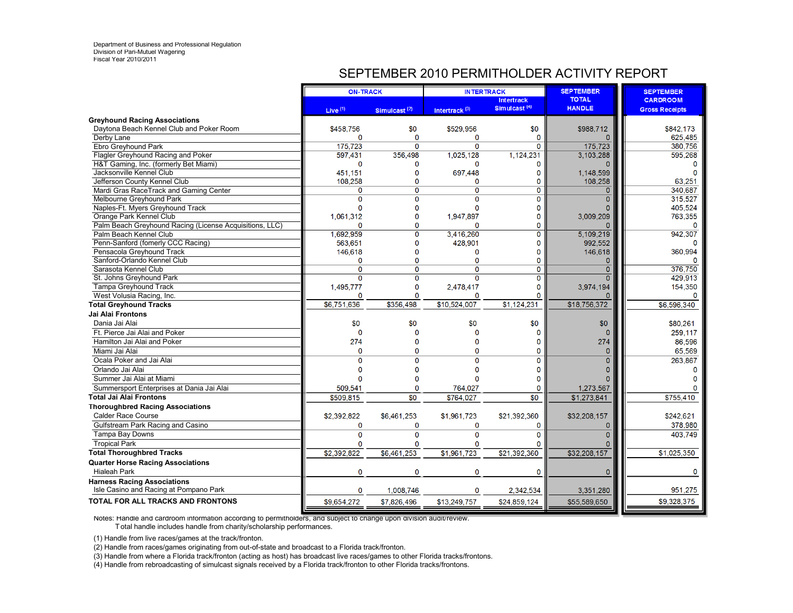## SEPTEMBER 2010 PERMITHOLDER ACTIVITY REPORT

|                                                                              | <b>ON-TRACK</b> |                          | <b>INTERTRACK</b>         |                                               | <b>SEPTEMBER</b>              | <b>SEPTEMBER</b>                         |
|------------------------------------------------------------------------------|-----------------|--------------------------|---------------------------|-----------------------------------------------|-------------------------------|------------------------------------------|
|                                                                              | Live $(1)$      | Simulcast <sup>(2)</sup> | Intertrack <sup>(3)</sup> | <b>Intertrack</b><br>Simulcast <sup>(4)</sup> | <b>TOTAL</b><br><b>HANDLE</b> | <b>CARDROOM</b><br><b>Gross Receipts</b> |
| <b>Greyhound Racing Associations</b>                                         |                 |                          |                           |                                               |                               |                                          |
| Daytona Beach Kennel Club and Poker Room                                     | \$458,756       | \$0                      | \$529,956                 | \$0                                           | \$988,712                     | \$842,173                                |
| Derby Lane                                                                   | O               | $\Omega$                 | $\Omega$                  | 0                                             |                               | 625.485                                  |
| Ebro Greyhound Park                                                          | 175,723         | $\Omega$                 | $\overline{0}$            | $\Omega$                                      | 175,723                       | 380,756                                  |
| Flagler Greyhound Racing and Poker                                           | 597,431         | 356,498                  | 1,025,128                 | 1,124,231                                     | 3,103,288                     | 595,268                                  |
| H&T Gaming, Inc. (formerly Bet Miami)                                        | 0               | O                        | 0                         | 0                                             | 0                             | O                                        |
| Jacksonville Kennel Club                                                     | 451.151         | $\Omega$                 | 697,448                   | $\mathbf 0$                                   | 1,148,599                     | O                                        |
| Jefferson County Kennel Club                                                 | 108,258         | 0                        | 0                         | 0                                             | 108,258                       | 63,251                                   |
| Mardi Gras RaceTrack and Gaming Center                                       | $\Omega$        | $\overline{0}$           | $\overline{0}$            | $\overline{0}$                                | $\overline{0}$                | 340.687                                  |
| Melbourne Greyhound Park                                                     | $\Omega$        | $\Omega$                 | $\mathbf{0}$              | 0                                             | $\overline{0}$                | 315,527                                  |
| Naples-Ft. Myers Greyhound Track                                             | 0               | O                        | $\Omega$                  | 0                                             | 0                             | 405,524                                  |
| Orange Park Kennel Club                                                      | 1.061.312       | $\Omega$                 | 1,947,897                 | 0                                             | 3,009,209                     | 763,355                                  |
| Palm Beach Greyhound Racing (License Acquisitions, LLC)                      | $\Omega$        | $\Omega$                 | n                         | 0                                             | O                             | n                                        |
| Palm Beach Kennel Club                                                       | 1,692,959       | 0                        | 3,416,260                 | 0                                             | 5,109,219                     | 942,307                                  |
| Penn-Sanford (fomerly CCC Racing)                                            | 563,651         | $\Omega$                 | 428,901                   | $\Omega$                                      | 992,552                       |                                          |
| Pensacola Greyhound Track                                                    | 146,618         | $\Omega$                 | n                         | $\mathbf{0}$                                  | 146,618                       | 360,994                                  |
| Sanford-Orlando Kennel Club                                                  | 0               | $\Omega$                 | $\Omega$                  | 0                                             | 0                             |                                          |
| Sarasota Kennel Club                                                         | 0               | 0                        | $\Omega$                  | 0                                             | $\overline{0}$                | 376,750                                  |
| St. Johns Greyhound Park                                                     | $\Omega$        | $\Omega$                 | $\overline{0}$            | $\mathbf{0}$                                  | $\Omega$                      | 429.913                                  |
| <b>Tampa Greyhound Track</b>                                                 | 1,495,777       | $\mathbf 0$              | 2,478,417                 | 0                                             | 3,974,194                     | 154,350                                  |
| West Volusia Racing, Inc.                                                    | 0               | 0                        | 0                         | 0                                             |                               | $\Omega$                                 |
| <b>Total Greyhound Tracks</b>                                                | \$6.751.636     | \$356.498                | \$10,524,007              | \$1,124,231                                   | \$18,756,372                  | \$6,596,340                              |
| Jai Alai Frontons                                                            |                 |                          |                           |                                               |                               |                                          |
| Dania Jai Alai                                                               | \$0             | \$0                      | \$0                       | \$0                                           | \$0                           | \$80,261                                 |
| Ft. Pierce Jai Alai and Poker                                                | $\mathbf{0}$    | $\Omega$                 | $\mathbf{0}$              | $\mathbf{0}$                                  | $\Omega$                      | 259.117                                  |
| Hamilton Jai Alai and Poker                                                  | 274             | O                        | $\Omega$                  | 0                                             | 274                           | 86,596                                   |
| Miami Jai Alai                                                               | $\mathbf{0}$    | 0                        | $\Omega$                  | $\mathbf 0$                                   | 0                             | 65,569                                   |
| Ocala Poker and Jai Alai                                                     | $\Omega$        | $\Omega$                 | $\Omega$                  | $\Omega$                                      | $\Omega$                      | 263.867                                  |
| Orlando Jai Alai                                                             | $\Omega$        | O                        | $\mathbf{0}$              | $\Omega$                                      | O                             | O                                        |
| Summer Jai Alai at Miami                                                     | n               | $\Omega$                 | $\Omega$                  | $\Omega$                                      | n                             |                                          |
| Summersport Enterprises at Dania Jai Alai                                    | 509,541         | 0                        | 764,027                   | O                                             | 1,273,567                     |                                          |
| <b>Total Jai Alai Frontons</b>                                               | \$509,815       | \$0                      | \$764,027                 | \$0                                           | \$1,273,841                   | \$755,410                                |
| <b>Thoroughbred Racing Associations</b>                                      |                 |                          |                           |                                               |                               |                                          |
| <b>Calder Race Course</b>                                                    | \$2,392,822     | \$6,461,253              | \$1,961,723               | \$21,392,360                                  | \$32,208,157                  | \$242.621                                |
| Gulfstream Park Racing and Casino                                            | $\mathbf 0$     | $\Omega$                 | $\mathbf 0$               | 0                                             | 0                             | 378,980                                  |
| Tampa Bay Downs                                                              | $\Omega$        | $\Omega$                 | $\mathbf 0$               | $\mathbf{0}$                                  | $\overline{0}$                | 403.749                                  |
| <b>Tropical Park</b>                                                         | 0               | O                        | $\Omega$                  | 0                                             |                               |                                          |
| <b>Total Thoroughbred Tracks</b>                                             | \$2,392,822     | \$6,461,253              | \$1,961,723               | \$21,392,360                                  | \$32,208,157                  | \$1,025,350                              |
| <b>Quarter Horse Racing Associations</b>                                     |                 |                          |                           |                                               |                               |                                          |
| <b>Hialeah Park</b>                                                          | $\mathbf{0}$    | $\mathbf 0$              | 0                         | $\bf{0}$                                      | 0                             | 0                                        |
| <b>Harness Racing Associations</b><br>Isle Casino and Racing at Pompano Park | 0               | 1,008,746                | 0                         | 2,342,534                                     | 3,351,280                     | 951.275                                  |
| <b>TOTAL FOR ALL TRACKS AND FRONTONS</b>                                     | \$9,654,272     | \$7.826.496              | \$13,249,757              | \$24,859,124                                  | \$55,589,650                  | \$9,328,375                              |
|                                                                              |                 |                          |                           |                                               |                               |                                          |

Notes: Handle and cardroom information according to permitholders, and subject to change upon division audit/review.

T otal handle includes handle from charity/scholarship performances.

(1) Handle from live races/games at the track/fronton.

(2) Handle from races/games originating from out-of-state and broadcast to a Florida track/fronton.

(3) Handle from where a Florida track/fronton (acting as host) has broadcast live races/games to other Florida tracks/frontons.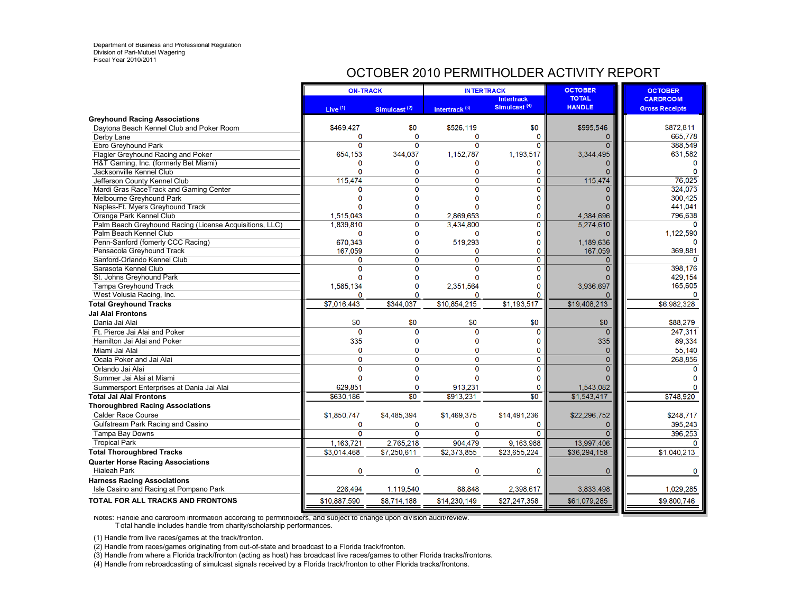## OCTOBER 2010 PERMITHOLDER ACTIVITY REPORT

|                                                         | <b>ON-TRACK</b> |                          | <b>INTERTRACK</b>         |                                               | <b>OCTOBER</b>                | <b>OCTOBER</b>                           |
|---------------------------------------------------------|-----------------|--------------------------|---------------------------|-----------------------------------------------|-------------------------------|------------------------------------------|
|                                                         | Live $(1)$      | Simulcast <sup>(2)</sup> | Intertrack <sup>(3)</sup> | <b>Intertrack</b><br>Simulcast <sup>(4)</sup> | <b>TOTAL</b><br><b>HANDLE</b> | <b>CARDROOM</b><br><b>Gross Receipts</b> |
| <b>Greyhound Racing Associations</b>                    |                 |                          |                           |                                               |                               |                                          |
| Daytona Beach Kennel Club and Poker Room                | \$469,427       | \$0                      | \$526,119                 | \$0                                           | \$995,546                     | \$872,811                                |
| Derby Lane                                              | 0               | $\Omega$                 | 0                         | $\mathbf 0$                                   | 0                             | 665.778                                  |
| Ebro Greyhound Park                                     | $\Omega$        | $\Omega$                 | $\overline{0}$            | $\Omega$                                      | $\Omega$                      | 388,549                                  |
| Flagler Greyhound Racing and Poker                      | 654,153         | 344,037                  | 1,152,787                 | 1,193,517                                     | 3,344,495                     | 631,582                                  |
| H&T Gaming, Inc. (formerly Bet Miami)                   | O               | O                        | O                         | 0                                             | 0                             | 0                                        |
| Jacksonville Kennel Club                                | O               | 0                        | $\Omega$                  | $\mathbf 0$                                   | 0                             | $\Omega$                                 |
| Jefferson County Kennel Club                            | 115,474         | $\Omega$                 | $\overline{0}$            | $\overline{0}$                                | 115,474                       | 76,025                                   |
| Mardi Gras RaceTrack and Gaming Center                  |                 | O                        | O                         | $\Omega$                                      |                               | 324,073                                  |
| Melbourne Greyhound Park                                |                 | n                        | n                         | O                                             | o                             | 300,425                                  |
| Naples-Ft. Myers Greyhound Track                        | O               | O                        | O                         | 0                                             |                               | 441,041                                  |
| Orange Park Kennel Club                                 | 1.515.043       | Ò                        | 2.869.653                 | $\mathbf 0$                                   | 4,384,696                     | 796.638                                  |
| Palm Beach Greyhound Racing (License Acquisitions, LLC) | 1.839,810       | Ō                        | 3,434,800                 | 0                                             | 5,274,610                     |                                          |
| Palm Beach Kennel Club                                  | 0               | $\Omega$                 | 0                         | 0                                             |                               | 1,122,590                                |
| Penn-Sanford (fomerly CCC Racing)                       | 670,343         | 0                        | 519,293                   | 0                                             | 1,189,636                     | $\Omega$                                 |
| Pensacola Greyhound Track                               | 167,059         | $\Omega$                 | 0                         | $\mathbf{0}$                                  | 167,059                       | 369.881                                  |
| Sanford-Orlando Kennel Club                             | 0               | $\Omega$                 | 0                         | $\mathbf{O}$                                  | $\mathbf{0}$                  | n                                        |
| Sarasota Kennel Club                                    | $\Omega$        | Ō                        | $\Omega$                  | 0                                             | $\overline{0}$                | 398,176                                  |
| St. Johns Greyhound Park                                | O               | 0                        | $\Omega$                  | 0                                             |                               | 429,154                                  |
| <b>Tampa Greyhound Track</b>                            | 1,585,134       | 0                        | 2,351,564                 | 0                                             | 3.936.697                     | 165,605                                  |
| West Volusia Racing, Inc.                               | n               | n                        | n                         | O                                             |                               | 0                                        |
| <b>Total Greyhound Tracks</b>                           | \$7,016,443     | \$344,037                | \$10,854,215              | \$1,193,517                                   | \$19,408,213                  | \$6,982,328                              |
| Jai Alai Frontons                                       |                 |                          |                           |                                               |                               |                                          |
| Dania Jai Alai                                          | \$0             | \$0                      | \$0                       | \$0                                           | \$0                           | \$88,279                                 |
| Ft. Pierce Jai Alai and Poker                           | $\Omega$        | $\mathbf 0$              | $\Omega$                  | $\mathbf 0$                                   | $\Omega$                      | 247,311                                  |
| Hamilton Jai Alai and Poker                             | 335             | $\Omega$                 | $\Omega$                  | 0                                             | 335                           | 89,334                                   |
| Miami Jai Alai                                          | $\Omega$        | Ō                        | 0                         | Ō                                             | 0                             | 55,140                                   |
| Ocala Poker and Jai Alai                                | $\Omega$        | $\Omega$                 | 0                         | $\mathbf 0$                                   | $\overline{0}$                | 268,856                                  |
| Orlando Jai Alai                                        | $\Omega$        | $\Omega$                 | $\Omega$                  | $\bf{0}$                                      | Ō                             | 0                                        |
| Summer Jai Alai at Miami                                | O               | O                        | $\Omega$                  | $\mathbf 0$                                   |                               |                                          |
| Summersport Enterprises at Dania Jai Alai               | 629.851         | $\mathbf 0$              | 913.231                   | $\mathbf{0}$                                  | 1,543,082                     | O                                        |
| Total Jai Alai Frontons                                 | \$630,186       | \$0                      | \$913,231                 | \$0                                           | \$1,543,417                   | \$748,920                                |
| <b>Thoroughbred Racing Associations</b>                 |                 |                          |                           |                                               |                               |                                          |
| <b>Calder Race Course</b>                               | \$1,850,747     | \$4.485,394              | \$1,469,375               | \$14,491,236                                  | \$22,296,752                  | \$248,717                                |
| Gulfstream Park Racing and Casino                       | 0               | $\Omega$                 | 0                         | $\mathbf 0$                                   | 0                             | 395.243                                  |
| Tampa Bay Downs                                         | $\Omega$        | $\Omega$                 | $\Omega$                  | $\Omega$                                      | $\Omega$                      | 396,253                                  |
| <b>Tropical Park</b>                                    | 1.163.721       | 2,765,218                | 904,479                   | 9,163,988                                     | 13,997,406                    | $\Omega$                                 |
| <b>Total Thoroughbred Tracks</b>                        | \$3,014,468     | \$7,250,611              | \$2,373,855               | \$23,655,224                                  | \$36,294,158                  | \$1,040,213                              |
| <b>Quarter Horse Racing Associations</b>                |                 |                          |                           |                                               |                               |                                          |
| <b>Hialeah Park</b>                                     | $\mathbf 0$     | $\mathbf 0$              | $\mathbf 0$               | $\bf{0}$                                      | 0                             | 0                                        |
| <b>Harness Racing Associations</b>                      |                 |                          |                           |                                               |                               |                                          |
| Isle Casino and Racing at Pompano Park                  | 226,494         | 1,119,540                | 88,848                    | 2,398,617                                     | 3,833,498                     | 1,029,285                                |
| TOTAL FOR ALL TRACKS AND FRONTONS                       | \$10,887,590    | \$8,714,188              | \$14,230,149              | \$27,247,358                                  | \$61,079,285                  | \$9,800,746                              |

Notes: Handle and cardroom information according to permitholders, and subject to change upon division audit/review. T otal handle includes handle from charity/scholarship performances.

(1) Handle from live races/games at the track/fronton.

(2) Handle from races/games originating from out-of-state and broadcast to a Florida track/fronton.

(3) Handle from where a Florida track/fronton (acting as host) has broadcast live races/games to other Florida tracks/frontons.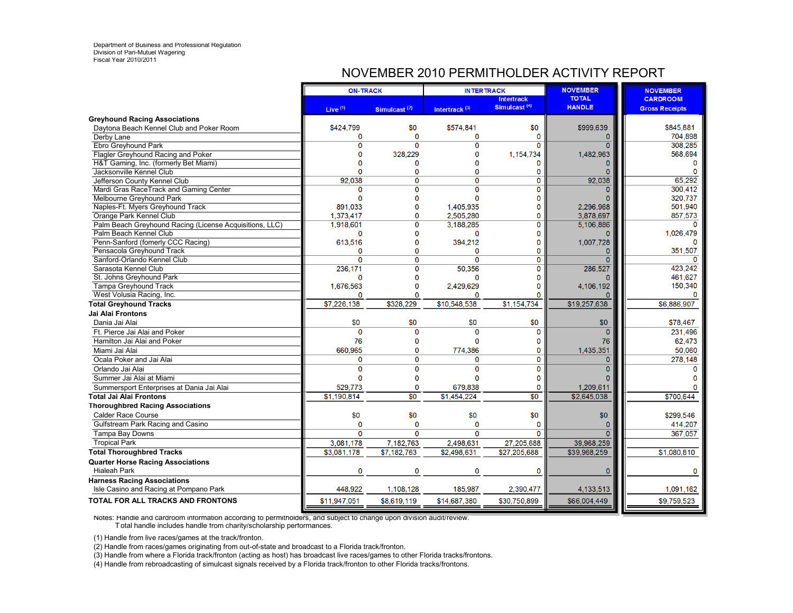#### NOVEMBER 2010 PERMITHOLDER ACTIVITY REPORT

|                                                         | <b>ON-TRACK</b>         |                          | <b>INTERTRACK</b>         |                                               | <b>NOVEMBER</b>               | <b>NOVEMBER</b>                          |
|---------------------------------------------------------|-------------------------|--------------------------|---------------------------|-----------------------------------------------|-------------------------------|------------------------------------------|
|                                                         | Live <sup>(1)</sup>     | Simulcast <sup>(2)</sup> | Intertrack <sup>(3)</sup> | <b>Intertrack</b><br>Simulcast <sup>(4)</sup> | <b>TOTAL</b><br><b>HANDLE</b> | <b>CARDROOM</b><br><b>Gross Receipts</b> |
| <b>Greyhound Racing Associations</b>                    |                         |                          |                           |                                               |                               |                                          |
| Daytona Beach Kennel Club and Poker Room                | \$424,799               | \$0                      | \$574,841                 | \$0                                           | \$999,639                     | \$845.881                                |
| Derby Lane                                              | 0                       | $\Omega$                 | $\mathbf 0$               | 0                                             | 0                             | 704.898                                  |
| Ebro Greyhound Park                                     | $\Omega$                | $\Omega$                 | $\overline{0}$            | $\Omega$                                      | $\Omega$                      | 308.285                                  |
| Flagler Greyhound Racing and Poker                      | $\Omega$                | 328,229                  | $\Omega$                  | 1,154,734                                     | 1,482,963                     | 568,694                                  |
| H&T Gaming, Inc. (formerly Bet Miami)                   |                         | O                        | 0                         | $\Omega$                                      | 0                             | $\mathbf 0$                              |
| Jacksonville Kennel Club                                |                         | n                        | $\Omega$                  | 0                                             | $\Omega$                      |                                          |
| Jefferson County Kennel Club                            | 92,038                  | $\mathbf{0}$             | $\Omega$                  | $\mathbf 0$                                   | 92,038                        | 65,292                                   |
| Mardi Gras RaceTrack and Gaming Center                  | $\Omega$                | O                        | $\Omega$                  | $\Omega$                                      |                               | 300,412                                  |
| Melbourne Greyhound Park                                |                         | 0                        | $\Omega$                  | $\Omega$                                      |                               | 320,737                                  |
| Naples-Ft. Myers Greyhound Track                        | 891.033                 | O                        | 1,405,935                 | $\Omega$                                      | 2,296,968                     | 501,940                                  |
| Orange Park Kennel Club                                 | 1,373,417               | O                        | 2,505,280                 | 0                                             | 3,878,697                     | 857,573                                  |
| Palm Beach Greyhound Racing (License Acquisitions, LLC) | 1,918,601               | 0                        | 3,188,285                 | 0                                             | 5,106,886                     |                                          |
| Palm Beach Kennel Club                                  | $\Omega$                | $\Omega$                 | $\mathbf 0$               | $\Omega$                                      | n                             | 1,026,479                                |
| Penn-Sanford (fomerly CCC Racing)                       | 613,516                 | $\Omega$                 | 394,212                   | 0                                             | 1,007,728                     |                                          |
| Pensacola Greyhound Track                               | 0                       | O                        | $\Omega$                  | 0                                             | 0                             | 351,507                                  |
| Sanford-Orlando Kennel Club                             | $\mathbf 0$             | $\mathbf 0$              | $\mathbf 0$               | $\mathbf 0$                                   | $\mathbf{0}$                  | $\Omega$                                 |
| Sarasota Kennel Club                                    | 236,171                 | Ō                        | 50,356                    | $\overline{0}$                                | 286,527                       | 423.242                                  |
| St. Johns Greyhound Park                                | $\Omega$                | n                        | 0                         | $\Omega$                                      | O                             | 461,627                                  |
| <b>Tampa Greyhound Track</b>                            | 1,676,563               | 0                        | 2,429,629                 | $\mathbf{0}$                                  | 4,106,192                     | 150,340                                  |
| West Volusia Racing, Inc.                               | $\Omega$                | O                        | O                         | $\Omega$                                      |                               | $\Omega$                                 |
| <b>Total Greyhound Tracks</b>                           | \$7.226.138             | \$328,229                | \$10.548.538              | \$1,154,734                                   | \$19,257,638                  | \$6,886,907                              |
| Jai Alai Frontons                                       |                         |                          |                           |                                               |                               |                                          |
| Dania Jai Alai                                          | \$0                     | \$0                      | \$0                       | \$0                                           | \$0                           | \$78,467                                 |
| Ft. Pierce Jai Alai and Poker                           | $\Omega$                | $\Omega$                 | $\Omega$                  | $\mathbf 0$                                   | $\Omega$                      | 231.496                                  |
| Hamilton Jai Alai and Poker                             | 76                      | $\Omega$                 | $\Omega$                  | $\mathbf 0$                                   | 76                            | 62,473                                   |
| Miami Jai Alai                                          | 660,965                 | 0                        | 774,386                   | $\mathbf 0$                                   | 1,435,351                     | 50,060                                   |
| Ocala Poker and Jai Alai                                | $\Omega$                | $\Omega$                 | 0                         | $\overline{0}$                                | $\overline{0}$                | 278,148                                  |
| Orlando Jai Alai                                        | $\Omega$                | $\mathbf{O}$             | $\Omega$                  | $\mathbf{0}$                                  | $\overline{0}$                |                                          |
| Summer Jai Alai at Miami                                | $\Omega$                | $\Omega$                 | $\Omega$                  | $\Omega$                                      |                               |                                          |
| Summersport Enterprises at Dania Jai Alai               | 529.773                 | $\mathbf 0$              | 679.838                   | $\mathbf{0}$                                  | 1,209,611                     |                                          |
| Total Jai Alai Frontons                                 | \$1,190,814             | \$0                      | \$1,454,224               | \$0                                           | \$2,645,038                   | \$700,644                                |
| <b>Thoroughbred Racing Associations</b>                 |                         |                          |                           |                                               |                               |                                          |
| <b>Calder Race Course</b>                               | \$0                     | \$0                      | \$0                       | \$0                                           | \$0                           | \$299.546                                |
| Gulfstream Park Racing and Casino                       | $\Omega$                | $\Omega$                 | 0                         | $\mathbf 0$                                   | 0                             | 414,207                                  |
| Tampa Bay Downs                                         | $\Omega$                | $\Omega$                 | 0                         | $\Omega$                                      | $\overline{0}$                | 367,057                                  |
| <b>Tropical Park</b>                                    | 3,081,178               | 7,182,763                | 2,498,631                 | 27,205,688                                    | 39,968,259                    |                                          |
| <b>Total Thoroughbred Tracks</b>                        | $$3,08\overline{1,178}$ | \$7,182,763              | \$2,498,631               | \$27,205,688                                  | \$39,968,259                  | \$1,080,810                              |
| <b>Quarter Horse Racing Associations</b>                |                         |                          |                           |                                               |                               |                                          |
| <b>Hialeah Park</b>                                     | $\mathbf 0$             | $\mathbf 0$              | 0                         | $\bf{0}$                                      | 0                             | $\mathbf 0$                              |
| <b>Harness Racing Associations</b>                      |                         |                          |                           |                                               |                               |                                          |
| Isle Casino and Racing at Pompano Park                  | 448,922                 | 1,108,128                | 185,987                   | 2,390,477                                     | 4, 133, 513                   | 1,091,162                                |
| TOTAL FOR ALL TRACKS AND FRONTONS                       | \$11,947,051            | \$8,619,119              | \$14,687,380              | \$30,750,899                                  | \$66,004,449                  | \$9,759,523                              |

Notes: Handle and cardroom information according to permitholders, and subject to change upon division audit/review. T otal handle includes handle from charity/scholarship performances.

(1) Handle from live races/games at the track/fronton.

(2) Handle from races/games originating from out-of-state and broadcast to a Florida track/fronton.

(3) Handle from where a Florida track/fronton (acting as host) has broadcast live races/games to other Florida tracks/frontons.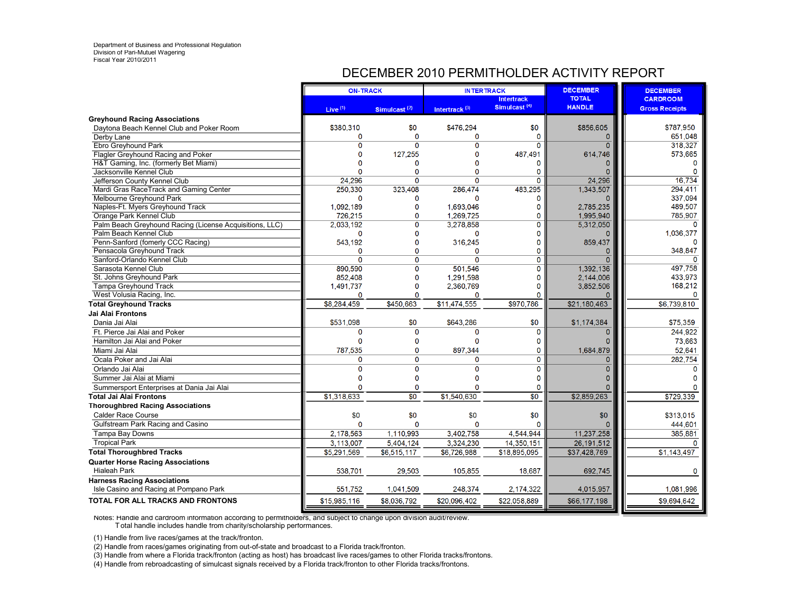## DECEMBER 2010 PERMITHOLDER ACTIVITY REPORT

|                                                                              | <b>ON-TRACK</b>     |                          | <b>INTERTRACK</b>         |                                               | <b>DECEMBER</b>               | <b>DECEMBER</b>                          |
|------------------------------------------------------------------------------|---------------------|--------------------------|---------------------------|-----------------------------------------------|-------------------------------|------------------------------------------|
|                                                                              | Live <sup>(1)</sup> | Simulcast <sup>(2)</sup> | Intertrack <sup>(3)</sup> | <b>Intertrack</b><br>Simulcast <sup>(4)</sup> | <b>TOTAL</b><br><b>HANDLE</b> | <b>CARDROOM</b><br><b>Gross Receipts</b> |
| <b>Greyhound Racing Associations</b>                                         |                     |                          |                           |                                               |                               |                                          |
| Daytona Beach Kennel Club and Poker Room                                     | \$380,310           | \$0                      | \$476,294                 | \$0                                           | \$856,605                     | \$787.950                                |
| Derby Lane                                                                   | 0                   | $\Omega$                 | 0                         | 0                                             | 0                             | 651.048                                  |
| Ebro Greyhound Park                                                          | $\Omega$            | $\Omega$                 | $\overline{0}$            | $\Omega$                                      | $\overline{0}$                | 318,327                                  |
| Flagler Greyhound Racing and Poker                                           | $\Omega$            | 127,255                  | O                         | 487,491                                       | 614,746                       | 573,665                                  |
| H&T Gaming, Inc. (formerly Bet Miami)                                        |                     | n                        | O                         | $\mathbf 0$                                   | 0                             | $\mathbf 0$                              |
| Jacksonville Kennel Club                                                     |                     | n                        | O                         | 0                                             | $\Omega$                      |                                          |
| Jefferson County Kennel Club                                                 | 24,296              | $\Omega$                 | O                         | $\mathbf{0}$                                  | 24,296                        | 16,734                                   |
| Mardi Gras RaceTrack and Gaming Center                                       | 250.330             | 323,408                  | 286,474                   | 483,295                                       | 1,343,507                     | 294,411                                  |
| Melbourne Greyhound Park                                                     | $\Omega$            | 0                        | $\Omega$                  | $\mathbf{0}$                                  |                               | 337.094                                  |
| Naples-Ft. Myers Greyhound Track                                             | 1,092,189           | O                        | 1,693,046                 | $\Omega$                                      | 2,785,235                     | 489,507                                  |
| Orange Park Kennel Club                                                      | 726,215             | O                        | 1,269,725                 | $\Omega$                                      | 1,995,940                     | 785.907                                  |
| Palm Beach Greyhound Racing (License Acquisitions, LLC)                      | 2,033,192           | 0                        | 3,278,858                 | 0                                             | 5,312,050                     | $\Omega$                                 |
| Palm Beach Kennel Club                                                       | $\mathbf 0$         | $\Omega$                 | $\mathbf 0$               | $\Omega$                                      | O                             | 1.036.377                                |
| Penn-Sanford (fomerly CCC Racing)                                            | 543.192             | $\Omega$                 | 316,245                   | 0                                             | 859,437                       |                                          |
| Pensacola Greyhound Track                                                    | 0                   | 0                        | $\Omega$                  | 0                                             | 0                             | 348,847                                  |
| Sanford-Orlando Kennel Club                                                  | $\Omega$            | $\mathbf 0$              | 0                         | $\mathbf 0$                                   | $\mathbf{0}$                  | O                                        |
| Sarasota Kennel Club                                                         | 890,590             | Ō                        | 501.546                   | $\overline{0}$                                | 1.392.136                     | 497.758                                  |
| St. Johns Greyhound Park                                                     | 852,408             | $\mathbf{0}$             | 1,291,598                 | $\Omega$                                      | 2,144,006                     | 433,973                                  |
| <b>Tampa Greyhound Track</b>                                                 | 1,491,737           | 0                        | 2,360,769                 | $\mathbf{0}$                                  | 3,852,506                     | 168,212                                  |
| West Volusia Racing, Inc.                                                    | $\Omega$            | O                        | O                         | $\Omega$                                      | $\Omega$                      | $\mathbf{0}$                             |
| <b>Total Greyhound Tracks</b>                                                | \$8,284,459         | \$450.663                | \$11,474,555              | \$970.786                                     | \$21,180,463                  | \$6,739,810                              |
| Jai Alai Frontons                                                            |                     |                          |                           |                                               |                               |                                          |
| Dania Jai Alai                                                               | \$531,098           | \$0                      | \$643,286                 | \$0                                           | \$1,174,384                   | \$75,359                                 |
| Ft. Pierce Jai Alai and Poker                                                | $\mathbf{0}$        | $\Omega$                 | 0                         | $\mathbf 0$                                   | $\Omega$                      | 244.922                                  |
| Hamilton Jai Alai and Poker                                                  | $\Omega$            | $\Omega$                 | $\Omega$                  | 0                                             |                               | 73,663                                   |
| Miami Jai Alai                                                               | 787,535             | 0                        | 897,344                   | $\mathbf 0$                                   | 1,684,879                     | 52,641                                   |
| Ocala Poker and Jai Alai                                                     | $\Omega$            | $\Omega$                 | 0                         | $\overline{0}$                                | $\mathbf{0}$                  | 282,754                                  |
| Orlando Jai Alai                                                             | $\Omega$            | $\Omega$                 | $\Omega$                  | $\mathbf{0}$                                  | $\Omega$                      |                                          |
| Summer Jai Alai at Miami                                                     | $\Omega$            | $\Omega$                 | O                         | 0                                             | O                             |                                          |
| Summersport Enterprises at Dania Jai Alai                                    | $\Omega$            | $\mathbf 0$              | 0                         | $\mathbf{0}$                                  | 0                             |                                          |
| Total Jai Alai Frontons                                                      | \$1,318,633         | $\overline{50}$          | \$1,540,630               | \$0                                           | \$2,859,263                   | \$729,339                                |
| <b>Thoroughbred Racing Associations</b>                                      |                     |                          |                           |                                               |                               |                                          |
| <b>Calder Race Course</b>                                                    | \$0                 | \$0                      | \$0                       | \$0                                           | \$0                           | \$313.015                                |
| Gulfstream Park Racing and Casino                                            | $\Omega$            | $\Omega$                 | $\Omega$                  | $\Omega$                                      | n                             | 444,601                                  |
| Tampa Bay Downs                                                              | 2.178.563           | 1,110,993                | 3,402,758                 | 4,544,944                                     | 11,237,258                    | 385,881                                  |
| <b>Tropical Park</b>                                                         | 3.113.007           | 5,404,124                | 3,324,230                 | 14,350,151                                    | 26, 191, 512                  | $\Omega$                                 |
| <b>Total Thoroughbred Tracks</b>                                             | \$5,291,569         | \$6,515,117              | \$6,726,988               | \$18,895,095                                  | \$37,428,769                  | \$1,143,497                              |
|                                                                              |                     |                          |                           |                                               |                               |                                          |
| <b>Quarter Horse Racing Associations</b>                                     |                     |                          |                           |                                               |                               |                                          |
| <b>Hialeah Park</b>                                                          | 538,701             | 29,503                   | 105,855                   | 18,687                                        | 692,745                       | $\mathbf 0$                              |
| <b>Harness Racing Associations</b><br>Isle Casino and Racing at Pompano Park | 551,752             | 1,041,509                | 248,374                   | 2,174,322                                     | 4,015,957                     | 1,081,996                                |
|                                                                              |                     |                          |                           |                                               |                               |                                          |
| TOTAL FOR ALL TRACKS AND FRONTONS                                            | \$15,985,116        | \$8,036,792              | \$20,096,402              | \$22,058,889                                  | \$66,177,198                  | \$9,694,642                              |

Notes: Handle and cardroom information according to permitholders, and subject to change upon division audit/review.

T otal handle includes handle from charity/scholarship performances.

(1) Handle from live races/games at the track/fronton.

(2) Handle from races/games originating from out-of-state and broadcast to a Florida track/fronton.

(3) Handle from where a Florida track/fronton (acting as host) has broadcast live races/games to other Florida tracks/frontons.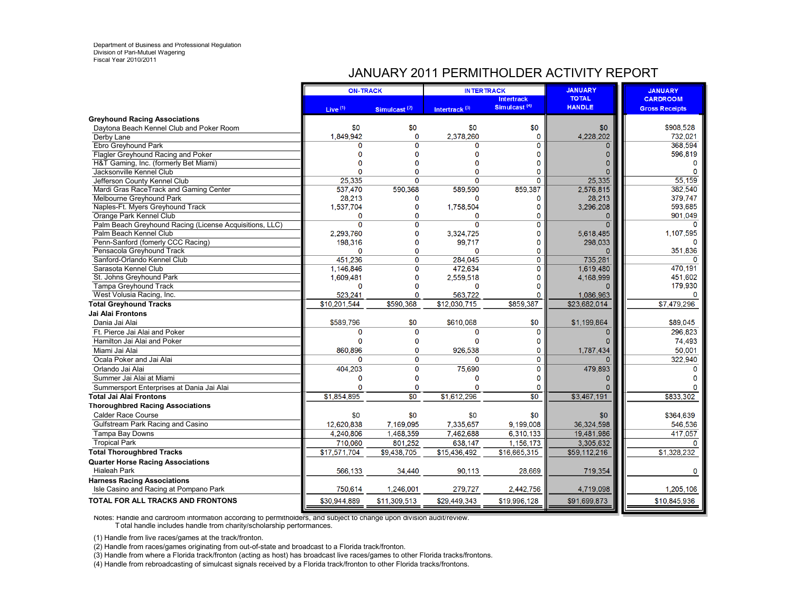#### JANUARY 2011 PERMITHOLDER ACTIVITY REPORT

|                                                         | <b>ON-TRACK</b> |                          | <b>INTERTRACK</b>         |                                               | <b>JANUARY</b>                | <b>JANUARY</b>                           |
|---------------------------------------------------------|-----------------|--------------------------|---------------------------|-----------------------------------------------|-------------------------------|------------------------------------------|
|                                                         | Live $(1)$      | Simulcast <sup>(2)</sup> | Intertrack <sup>(3)</sup> | <b>Intertrack</b><br>Simulcast <sup>(4)</sup> | <b>TOTAL</b><br><b>HANDLE</b> | <b>CARDROOM</b><br><b>Gross Receipts</b> |
| <b>Greyhound Racing Associations</b>                    |                 |                          |                           |                                               |                               |                                          |
| Daytona Beach Kennel Club and Poker Room                | \$0             | \$0                      | \$0                       | \$0                                           | \$0                           | \$908,528                                |
| Derby Lane                                              | 1.849.942       | $\mathbf{O}$             | 2,378,260                 | $\mathbf{0}$                                  | 4,228,202                     | 732.021                                  |
| Ebro Greyhound Park                                     | n               | $\Omega$                 | O                         | $\mathbf 0$                                   | $\Omega$                      | 368,594                                  |
| Flagler Greyhound Racing and Poker                      | $\Omega$        | $\Omega$                 | $\Omega$                  | $\Omega$                                      | $\overline{0}$                | 596,819                                  |
| H&T Gaming, Inc. (formerly Bet Miami)                   | n               | $\Omega$                 | $\Omega$                  | $\mathbf 0$                                   | $\Omega$                      | $\Omega$                                 |
| Jacksonville Kennel Club                                | $\Omega$        | O                        | $\Omega$                  | 0                                             | $\Omega$                      | $\Omega$                                 |
| Jefferson County Kennel Club                            | 25,335          | $\mathbf{0}$             | 0                         | $\mathbf{0}$                                  | 25,335                        | 55,159                                   |
| Mardi Gras RaceTrack and Gaming Center                  | 537.470         | 590.368                  | 589.590                   | 859.387                                       | 2.576.815                     | 382.540                                  |
| Melbourne Greyhound Park                                | 28,213          | 0                        | n                         | O                                             | 28,213                        | 379,747                                  |
| Naples-Ft. Myers Greyhound Track                        | 1,537,704       | $\mathbf{0}$             | 1,758,504                 | $\Omega$                                      | 3,296,208                     | 593,685                                  |
| Orange Park Kennel Club                                 | $\Omega$        | O                        | 0                         | $\Omega$                                      | $\overline{0}$                | 901,049                                  |
| Palm Beach Greyhound Racing (License Acquisitions, LLC) | $\Omega$        | Ō                        | $\Omega$                  | 0                                             | $\Omega$                      |                                          |
| Palm Beach Kennel Club                                  | 2.293.760       | $\mathbf 0$              | 3,324,725                 | $\Omega$                                      | 5,618,485                     | 1,107,595                                |
| Penn-Sanford (fomerly CCC Racing)                       | 198,316         | $\Omega$                 | 99,717                    | 0                                             | 298,033                       | n                                        |
| Pensacola Greyhound Track                               | $\mathbf{0}$    | $\Omega$                 | 0                         | 0                                             | $\Omega$                      | 351,836                                  |
| Sanford-Orlando Kennel Club                             | 451,236         | $\Omega$                 | 284,045                   | $\mathbf 0$                                   | 735,281                       | $\Omega$                                 |
| Sarasota Kennel Club                                    | 1,146,846       | 0                        | 472,634                   | $\overline{0}$                                | 1,619,480                     | 470,191                                  |
| St. Johns Greyhound Park                                | 1,609,481       | $\bf{0}$                 | 2,559,518                 | $\bf{0}$                                      | 4,168,999                     | 451,602                                  |
| <b>Tampa Greyhound Track</b>                            | $\Omega$        | $\mathbf 0$              | $\Omega$                  | $\mathbf{0}$                                  | 0                             | 179,930                                  |
| West Volusia Racing, Inc.                               | 523,241         | $\Omega$                 | 563,722                   | O                                             | 1,086,963                     | $\Omega$                                 |
| <b>Total Greyhound Tracks</b>                           | \$10,201,544    | \$590,368                | \$12,030,715              | \$859,387                                     | \$23,682,014                  | \$7,479,296                              |
| Jai Alai Frontons                                       |                 |                          |                           |                                               |                               |                                          |
| Dania Jai Alai                                          | \$589,796       | \$0                      | \$610,068                 | \$0                                           | \$1,199,864                   | \$89,045                                 |
| Ft. Pierce Jai Alai and Poker                           | $\Omega$        | $\mathbf{0}$             | 0                         | 0                                             | $\Omega$                      | 296,823                                  |
| Hamilton Jai Alai and Poker                             | $\Omega$        | 0                        | $\Omega$                  | $\mathbf 0$                                   | $\Omega$                      | 74,493                                   |
| Miami Jai Alai                                          | 860.896         | $\mathbf{0}$             | 926,538                   | 0                                             | 1,787,434                     | 50,001                                   |
| Ocala Poker and Jai Alai                                | $\Omega$        | $\mathbf 0$              | 0                         | 0                                             | O                             | 322,940                                  |
| Orlando Jai Alai                                        | 404,203         | $\mathbf 0$              | 75,690                    | $\mathbf{0}$                                  | 479,893                       | $\Omega$                                 |
| Summer Jai Alai at Miami                                | $\mathbf 0$     | $\Omega$                 | $\Omega$                  | $\Omega$                                      | 0                             |                                          |
| Summersport Enterprises at Dania Jai Alai               | $\Omega$        | $\bf{0}$                 | 0                         | $\mathbf 0$                                   |                               |                                          |
| <b>Total Jai Alai Frontons</b>                          | \$1.854,895     | $\overline{50}$          | \$1,612,296               | \$0                                           | \$3,467,191                   | \$833,302                                |
| <b>Thoroughbred Racing Associations</b>                 |                 |                          |                           |                                               |                               |                                          |
| <b>Calder Race Course</b>                               | \$0             | \$0                      | \$0                       | \$0                                           | \$0                           | \$364,639                                |
| Gulfstream Park Racing and Casino                       | 12.620.838      | 7.169.095                | 7.335.657                 | 9.199.008                                     | 36,324,598                    | 546,536                                  |
| Tampa Bay Downs                                         | 4.240.806       | 1.468,359                | 7.462.688                 | 6,310,133                                     | 19,481,986                    | 417,057                                  |
| <b>Tropical Park</b>                                    | 710,060         | 801,252                  | 638,147                   | 1,156,173                                     | 3,305,632                     | $\Omega$                                 |
| <b>Total Thoroughbred Tracks</b>                        | \$17,571,704    | \$9,438,705              | \$15,436,492              | \$16,665,315                                  | \$59,112,216                  | \$1.328.232                              |
| <b>Quarter Horse Racing Associations</b>                |                 |                          |                           |                                               |                               |                                          |
| <b>Hialeah Park</b>                                     | 566,133         | 34,440                   | 90,113                    | 28,669                                        | 719,354                       | $\mathbf 0$                              |
| <b>Harness Racing Associations</b>                      |                 |                          |                           |                                               |                               |                                          |
| Isle Casino and Racing at Pompano Park                  | 750,614         | 1,246,001                | 279,727                   | 2,442,756                                     | 4,719,098                     | 1,205,106                                |
| TOTAL FOR ALL TRACKS AND FRONTONS                       | \$30,944,889    | \$11,309,513             | \$29,449,343              | \$19,996,128                                  | \$91,699,873                  | \$10,845,936                             |

Notes: Handle and cardroom information according to permitholders, and subject to change upon division audit/review. T otal handle includes handle from charity/scholarship performances.

(1) Handle from live races/games at the track/fronton.

(2) Handle from races/games originating from out-of-state and broadcast to a Florida track/fronton.

(3) Handle from where a Florida track/fronton (acting as host) has broadcast live races/games to other Florida tracks/frontons.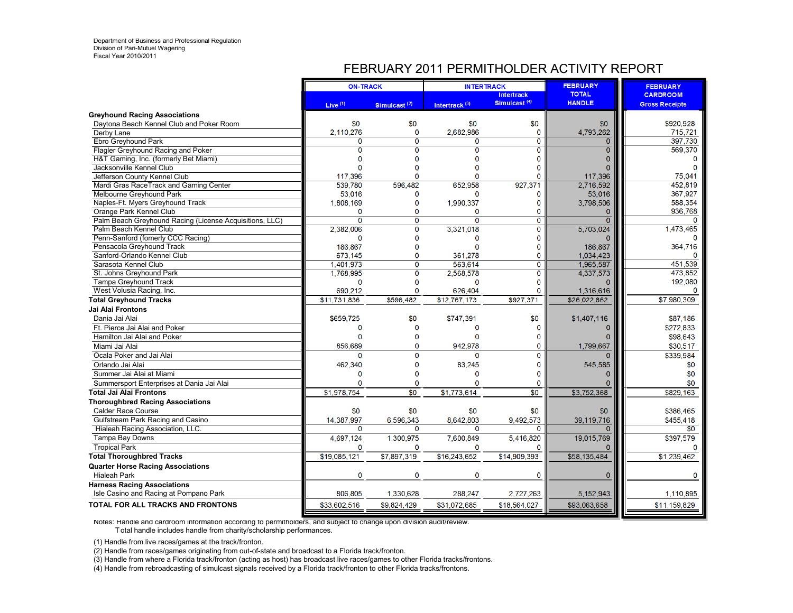#### FEBRUARY 2011 PERMITHOLDER ACTIVITY REPORT

|                                                                              | <b>ON-TRACK</b> |                          | <b>INTERTRACK</b>         |                                               | <b>FEBRUARY</b>               | <b>FEBRUARY</b>                          |
|------------------------------------------------------------------------------|-----------------|--------------------------|---------------------------|-----------------------------------------------|-------------------------------|------------------------------------------|
|                                                                              | Live $(1)$      | Simulcast <sup>(2)</sup> | Intertrack <sup>(3)</sup> | <b>Intertrack</b><br>Simulcast <sup>(4)</sup> | <b>TOTAL</b><br><b>HANDLE</b> | <b>CARDROOM</b><br><b>Gross Receipts</b> |
| <b>Greyhound Racing Associations</b>                                         |                 |                          |                           |                                               |                               |                                          |
| Davtona Beach Kennel Club and Poker Room                                     | \$0             | \$0                      | \$0                       | \$0                                           | \$0                           | \$920,928                                |
| Derby Lane                                                                   | 2,110,276       | $\mathbf 0$              | 2,682,986                 | $\mathbf 0$                                   | 4,793,262                     | 715,721                                  |
| Ebro Greyhound Park                                                          | O               | $\Omega$                 | 0                         | $\overline{0}$                                | $\Omega$                      | 397,730                                  |
| Flagler Greyhound Racing and Poker                                           | $\Omega$        | $\Omega$                 | 0                         | 0                                             | $\Omega$                      | 569,370                                  |
| H&T Gaming, Inc. (formerly Bet Miami)                                        |                 | n                        | Õ                         | 0                                             |                               | $\Omega$                                 |
| Jacksonville Kennel Club                                                     |                 |                          | n                         | 0                                             |                               | $\Omega$                                 |
| Jefferson County Kennel Club                                                 | 117,396         | O                        | n                         | 0                                             | 117,396                       | 75,041                                   |
| Mardi Gras RaceTrack and Gaming Center                                       | 539.780         | 596,482                  | 652.958                   | 927,371                                       | 2.716.592                     | 452,819                                  |
| Melbourne Greyhound Park                                                     | 53,016          | 0                        | 0                         | 0                                             | 53,016                        | 367,927                                  |
| Naples-Ft. Myers Greyhound Track                                             | 1,808,169       | $\mathbf{0}$             | 1,990,337                 | 0                                             | 3,798,506                     | 588,354                                  |
| Orange Park Kennel Club                                                      | $\Omega$        | $\mathbf{0}$             | 0                         | 0                                             | n                             | 936.768                                  |
| Palm Beach Greyhound Racing (License Acquisitions, LLC)                      | $\mathbf 0$     | $\mathbf 0$              | 0                         | $\overline{0}$                                | $\Omega$                      | $\Omega$                                 |
| Palm Beach Kennel Club                                                       | 2.382.006       | $\Omega$                 | 3,321,018                 | 0                                             | 5,703,024                     | 1,473,465                                |
| Penn-Sanford (fomerly CCC Racing)                                            | n               | $\Omega$                 | n                         | 0                                             |                               |                                          |
| Pensacola Greyhound Track                                                    | 186.867         | $\Omega$                 | 0                         | 0                                             | 186.867                       | 364,716                                  |
| Sanford-Orlando Kennel Club                                                  | 673.145         | $\Omega$                 | 361,278                   | 0                                             | 1,034,423                     |                                          |
| Sarasota Kennel Club                                                         | 1,401,973       | $\overline{0}$           | 563,614                   | $\overline{0}$                                | 1,965,587                     | 451,539                                  |
| St. Johns Greyhound Park                                                     | 1,768,995       | $\Omega$                 | 2,568,578                 | 0                                             | 4,337,573                     | 473.852                                  |
| <b>Tampa Greyhound Track</b>                                                 | $\Omega$        | $\Omega$                 | 0                         | 0                                             |                               | 192,080                                  |
| West Volusia Racing, Inc.                                                    | 690,212         | $\mathbf{0}$             | 626,404                   | 0                                             | 1,316,616                     | 0                                        |
| <b>Total Greyhound Tracks</b>                                                | \$11,731,836    | \$596,482                | \$12,767,173              | \$927,371                                     | \$26,022,862                  | \$7,980,309                              |
| Jai Alai Frontons                                                            |                 |                          |                           |                                               |                               |                                          |
| Dania Jai Alai                                                               | \$659,725       | \$0                      | \$747,391                 | \$0                                           | \$1,407,116                   | \$87,186                                 |
| Ft. Pierce Jai Alai and Poker                                                | $\Omega$        | $\mathbf 0$              | 0                         | 0                                             |                               | \$272,833                                |
| Hamilton Jai Alai and Poker                                                  |                 | $\Omega$                 | Õ                         | 0                                             |                               | \$98,643                                 |
| Miami Jai Alai                                                               | 856.689         | $\mathbf 0$              | 942,978                   | 0                                             | 1,799,667                     | \$30,517                                 |
| Ocala Poker and Jai Alai                                                     | n               | <sup>0</sup>             | Ő                         | Ō                                             |                               | \$339.984                                |
| Orlando Jai Alai                                                             | 462.340         | $\mathbf 0$              | 83,245                    | 0                                             | 545,585                       | \$0                                      |
| Summer Jai Alai at Miami                                                     | $\Omega$        | $\Omega$                 | $\Omega$                  | Ō                                             |                               | \$0                                      |
| Summersport Enterprises at Dania Jai Alai                                    |                 | $\Omega$                 | O                         | 0                                             |                               | \$0                                      |
| <b>Total Jai Alai Frontons</b>                                               | \$1.978.754     | $\overline{30}$          | \$1,773,614               | $\overline{30}$                               | \$3,752,368                   | \$829,163                                |
| <b>Thoroughbred Racing Associations</b>                                      |                 |                          |                           |                                               |                               |                                          |
| <b>Calder Race Course</b>                                                    | \$0             | \$0                      | \$0                       | \$0                                           | \$0                           | \$386,465                                |
| Gulfstream Park Racing and Casino                                            | 14,387,997      | 6.596.343                | 8,642,803                 | 9,492,573                                     | 39,119,716                    | \$455,418                                |
| Hialeah Racing Association, LLC.                                             | $\Omega$        | $\Omega$                 | O                         | $\Omega$                                      | $\Omega$                      | \$0                                      |
| Tampa Bay Downs                                                              | 4,697,124       | 1,300,975                | 7,600,849                 | 5,416,820                                     | 19,015,769                    | \$397,579                                |
| <b>Tropical Park</b>                                                         | $\mathbf 0$     | $\mathbf 0$              | 0                         | 0                                             |                               |                                          |
| <b>Total Thoroughbred Tracks</b>                                             | \$19,085,121    | \$7,897,319              | \$16,243,652              | \$14,909,393                                  | \$58,135,484                  | \$1,239,462                              |
| <b>Quarter Horse Racing Associations</b>                                     |                 |                          |                           |                                               |                               |                                          |
| <b>Hialeah Park</b>                                                          | $\mathbf 0$     | $\mathbf 0$              | 0                         | $\mathbf 0$                                   | $\mathbf 0$                   | 0                                        |
| <b>Harness Racing Associations</b><br>Isle Casino and Racing at Pompano Park | 806,805         | 1,330,628                | 288,247                   | 2,727,263                                     | 5, 152, 943                   | 1,110,895                                |
| <b>TOTAL FOR ALL TRACKS AND FRONTONS</b>                                     | \$33,602,516    | \$9,824,429              | \$31,072,685              | \$18,564,027                                  | \$93,063,658                  | \$11,159,829                             |
|                                                                              |                 |                          |                           |                                               |                               |                                          |

Notes: Handle and cardroom information according to permitholders, and subject to change upon division audit/review.

T otal handle includes handle from charity/scholarship performances.

(1) Handle from live races/games at the track/fronton.

(2) Handle from races/games originating from out-of-state and broadcast to a Florida track/fronton.

(3) Handle from where a Florida track/fronton (acting as host) has broadcast live races/games to other Florida tracks/frontons.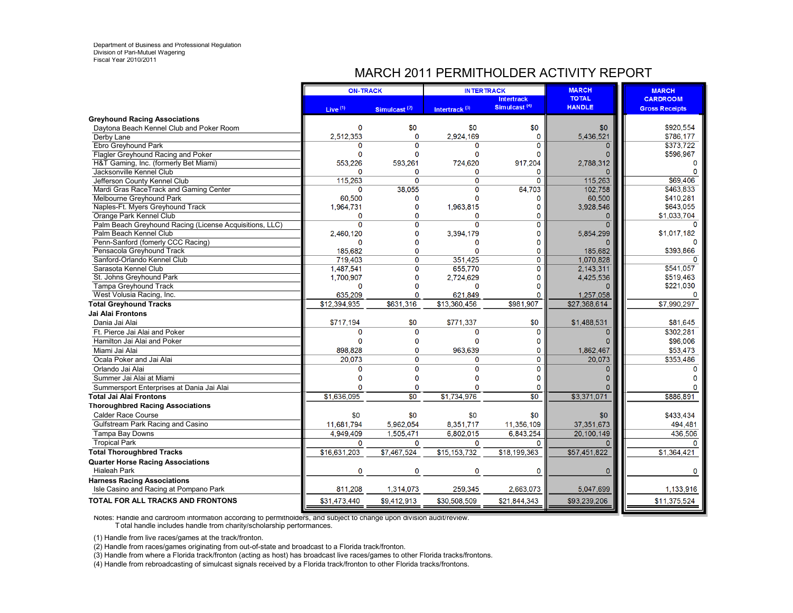## MARCH 2011 PERMITHOLDER ACTIVITY REPORT

|                                                         | <b>ON-TRACK</b>     |                          | <b>INTERTRACK</b>         |                                               | <b>MARCH</b>                  | <b>MARCH</b>                             |
|---------------------------------------------------------|---------------------|--------------------------|---------------------------|-----------------------------------------------|-------------------------------|------------------------------------------|
|                                                         | Live <sup>(1)</sup> | Simulcast <sup>(2)</sup> | Intertrack <sup>(3)</sup> | <b>Intertrack</b><br>Simulcast <sup>(4)</sup> | <b>TOTAL</b><br><b>HANDLE</b> | <b>CARDROOM</b><br><b>Gross Receipts</b> |
| <b>Greyhound Racing Associations</b>                    |                     |                          |                           |                                               |                               |                                          |
| Daytona Beach Kennel Club and Poker Room                | $\Omega$            | \$0                      | \$0                       | \$0                                           | \$0                           | \$920,554                                |
| Derby Lane                                              | 2.512.353           | $\Omega$                 | 2.924.169                 | $\mathbf 0$                                   | 5,436,521                     | \$786.177                                |
| Ebro Greyhound Park                                     | n                   | $\Omega$                 | O                         | 0                                             | $\Omega$                      | \$373,722                                |
| Flagler Greyhound Racing and Poker                      | $\Omega$            | 0                        | $\mathbf{0}$              | 0                                             | O                             | \$596,967                                |
| H&T Gaming, Inc. (formerly Bet Miami)                   | 553,226             | 593,261                  | 724,620                   | 917,204                                       | 2,788,312                     | $\mathbf 0$                              |
| Jacksonville Kennel Club                                | n                   | 0                        | O                         | 0                                             | $\Omega$                      | $\Omega$                                 |
| Jefferson County Kennel Club                            | 115,263             | $\Omega$                 | $\Omega$                  | $\mathbf{O}$                                  | 115,263                       | \$69,406                                 |
| Mardi Gras RaceTrack and Gaming Center                  | $\Omega$            | 38.055                   | O                         | 64,703                                        | 102.758                       | \$463,833                                |
| Melbourne Greyhound Park                                | 60,500              | 0                        | n                         | 0                                             | 60,500                        | \$410,281                                |
| Naples-Ft. Myers Greyhound Track                        | 1,964,731           | $\overline{0}$           | 1,963,815                 | 0                                             | 3,928,546                     | \$643,055                                |
| Orange Park Kennel Club                                 | O                   | $\Omega$                 | O                         | $\Omega$                                      | $\Omega$                      | \$1,033,704                              |
| Palm Beach Greyhound Racing (License Acquisitions, LLC) | $\Omega$            | 0                        | 0                         | 0                                             | $\Omega$                      |                                          |
| Palm Beach Kennel Club                                  | 2,460,120           | 0                        | 3,394,179                 | 0                                             | 5,854,299                     | \$1,017,182                              |
| Penn-Sanford (fomerly CCC Racing)                       | $\Omega$            | 0                        | 0                         | 0                                             | $\Omega$                      | $\Omega$                                 |
| Pensacola Greyhound Track                               | 185.682             | $\Omega$                 | $\Omega$                  | $\Omega$                                      | 185,682                       | \$393,866                                |
| Sanford-Orlando Kennel Club                             | 719,403             | 0                        | 351,425                   | 0                                             | 1,070,828                     | $\Omega$                                 |
| Sarasota Kennel Club                                    | 1,487,541           | $\overline{0}$           | 655,770                   | $\overline{0}$                                | 2,143,311                     | \$541,057                                |
| St. Johns Greyhound Park                                | 1,700,907           | 0                        | 2,724,629                 | 0                                             | 4,425,536                     | \$519,463                                |
| <b>Tampa Greyhound Track</b>                            | $\Omega$            | 0                        | $\Omega$                  | 0                                             | $\mathbf{0}$                  | \$221,030                                |
| West Volusia Racing, Inc.                               | 635,209             | 0                        | 621,849                   | 0                                             | 1,257,058                     | $\mathbf{0}$                             |
| <b>Total Greyhound Tracks</b>                           | \$12,394,935        | \$631,316                | \$13,360,456              | \$981,907                                     | \$27,368,614                  | \$7,990,297                              |
| Jai Alai Frontons                                       |                     |                          |                           |                                               |                               |                                          |
| Dania Jai Alai                                          | \$717,194           | \$0                      | \$771,337                 | \$0                                           | \$1,488,531                   | \$81,645                                 |
| Ft. Pierce Jai Alai and Poker                           | $\mathbf{0}$        | 0                        | $\Omega$                  | 0                                             | $\Omega$                      | \$302,281                                |
| Hamilton Jai Alai and Poker                             | n                   | $\Omega$                 | $\Omega$                  | 0                                             |                               | \$96,006                                 |
| Miami Jai Alai                                          | 898.828             | 0                        | 963,639                   | 0                                             | 1,862,467                     | \$53,473                                 |
| Ocala Poker and Jai Alai                                | 20.073              | $\Omega$                 | $\Omega$                  | 0                                             | 20.073                        | \$353,486                                |
| Orlando Jai Alai                                        | O                   | 0                        | $\Omega$                  | $\mathbf{0}$                                  | $\Omega$                      | $\Omega$                                 |
| Summer Jai Alai at Miami                                |                     | 0                        | $\Omega$                  | 0                                             |                               |                                          |
| Summersport Enterprises at Dania Jai Alai               | O                   | 0                        | O                         | $\mathbf 0$                                   |                               | n                                        |
| Total Jai Alai Frontons                                 | \$1,636,095         | \$0                      | \$1,734,976               | $\overline{50}$                               | \$3,371,071                   | \$886,891                                |
| <b>Thoroughbred Racing Associations</b>                 |                     |                          |                           |                                               |                               |                                          |
| <b>Calder Race Course</b>                               | \$0                 | \$0                      | \$0                       | \$0                                           | \$0                           | \$433.434                                |
| Gulfstream Park Racing and Casino                       | 11,681,794          | 5,962,054                | 8,351,717                 | 11,356,109                                    | 37,351,673                    | 494,481                                  |
| Tampa Bay Downs                                         | 4.949.409           | 1,505,471                | 6,802,015                 | 6,843,254                                     | 20,100,149                    | 436,506                                  |
| <b>Tropical Park</b>                                    | $\Omega$            | $\Omega$                 | 0                         | $\Omega$                                      | $\Omega$                      | $\Omega$                                 |
| <b>Total Thoroughbred Tracks</b>                        | \$16,631,203        | \$7,467,524              | \$15,153,732              | \$18,199,363                                  | \$57,451,822                  | \$1,364,421                              |
| <b>Quarter Horse Racing Associations</b>                |                     |                          |                           |                                               |                               |                                          |
| <b>Hialeah Park</b>                                     | $\mathbf 0$         | 0                        | $\mathbf 0$               | $\mathbf 0$                                   | $\mathbf 0$                   | 0                                        |
| <b>Harness Racing Associations</b>                      |                     |                          |                           |                                               |                               |                                          |
| Isle Casino and Racing at Pompano Park                  | 811,208             | 1,314,073                | 259,345                   | 2,663,073                                     | 5,047,699                     | 1,133,916                                |
| <b>TOTAL FOR ALL TRACKS AND FRONTONS</b>                | \$31,473,440        | \$9,412,913              | \$30,508,509              | \$21,844,343                                  | \$93,239,206                  | \$11,375,524                             |

Notes: Handle and cardroom information according to permitholders, and subject to change upon division audit/review. T otal handle includes handle from charity/scholarship performances.

(1) Handle from live races/games at the track/fronton.

(2) Handle from races/games originating from out-of-state and broadcast to a Florida track/fronton.

(3) Handle from where a Florida track/fronton (acting as host) has broadcast live races/games to other Florida tracks/frontons.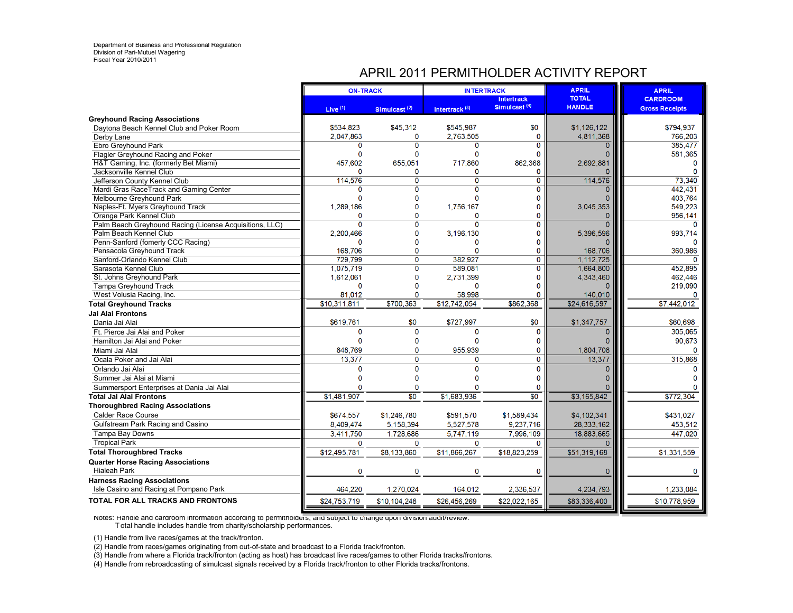## APRIL 2011 PERMITHOLDER ACTIVITY REPORT

|                                                                 | <b>ON-TRACK</b> |                          | <b>INTERTRACK</b>         |                                               | <b>APRIL</b>                  | <b>APRIL</b>                             |
|-----------------------------------------------------------------|-----------------|--------------------------|---------------------------|-----------------------------------------------|-------------------------------|------------------------------------------|
|                                                                 | Live $(1)$      |                          |                           | <b>Intertrack</b><br>Simulcast <sup>(4)</sup> | <b>TOTAL</b><br><b>HANDLE</b> | <b>CARDROOM</b><br><b>Gross Receipts</b> |
| <b>Greyhound Racing Associations</b>                            |                 | Simulcast <sup>(2)</sup> | Intertrack <sup>(3)</sup> |                                               |                               |                                          |
| Daytona Beach Kennel Club and Poker Room                        | \$534,823       | \$45,312                 | \$545,987                 | \$0                                           | \$1,126,122                   | \$794,937                                |
| Derby Lane                                                      | 2,047,863       | 0                        | 2,763,505                 | $\mathbf 0$                                   | 4,811,368                     | 766,203                                  |
| Ebro Greyhound Park                                             | $\Omega$        | $\overline{0}$           | 0                         | $\mathbf 0$                                   | $\Omega$                      | 385,477                                  |
| Flagler Greyhound Racing and Poker                              | $\mathbf{0}$    | $\Omega$                 | 0                         | $\Omega$                                      |                               | 581,365                                  |
| H&T Gaming, Inc. (formerly Bet Miami)                           | 457,602         | 655,051                  | 717,860                   | 862.368                                       | 2,692,881                     | $\Omega$                                 |
| Jacksonville Kennel Club                                        | $\Omega$        | 0                        | 0                         | 0                                             |                               | $\Omega$                                 |
| Jefferson County Kennel Club                                    | 114,576         | $\mathbf{0}$             | 0                         | $\overline{0}$                                | 114,576                       | 73,340                                   |
| Mardi Gras RaceTrack and Gaming Center                          | n               | $\overline{0}$           | $\overline{0}$            | $\overline{0}$                                | $\Omega$                      | 442,431                                  |
| Melbourne Greyhound Park                                        |                 | $\Omega$                 | 0                         | 0                                             |                               | 403,764                                  |
| Naples-Ft. Myers Greyhound Track                                | 1,289,186       | $\Omega$                 | 1,756,167                 | 0                                             | 3,045,353                     | 549,223                                  |
| Orange Park Kennel Club                                         | O               | $\Omega$                 | 0                         | 0                                             | $\mathbf{0}$                  | 956,141                                  |
| Palm Beach Greyhound Racing (License Acquisitions, LLC)         | $\Omega$        | $\overline{0}$           | $\overline{0}$            | $\overline{0}$                                | $\Omega$                      | $\Omega$                                 |
| Palm Beach Kennel Club                                          | 2,200,466       | $\mathbf 0$              | 3,196,130                 | 0                                             | 5,396,596                     | 993,714                                  |
| Penn-Sanford (fomerly CCC Racing)                               | $\Omega$        | $\Omega$                 | 0                         | 0                                             |                               | $\Omega$                                 |
| Pensacola Greyhound Track                                       | 168,706         | $\Omega$                 | 0                         | 0                                             | 168,706                       | 360,986                                  |
| Sanford-Orlando Kennel Club                                     | 729,799         | $\overline{0}$           | 382,927                   | $\overline{0}$                                | 1,112,725                     | $\Omega$                                 |
| Sarasota Kennel Club                                            | 1.075.719       | $\overline{0}$           | 589.081                   | 0                                             | 1.664.800                     | 452.895                                  |
| St. Johns Greyhound Park                                        | 1,612,061       | $\mathbf{0}$             | 2,731,399                 | 0                                             | 4,343,460                     | 462,446                                  |
| <b>Tampa Greyhound Track</b>                                    | $\Omega$        | $\Omega$                 | 0                         | $\Omega$                                      |                               | 219.090                                  |
| West Volusia Racing, Inc.                                       | 81.012          | $\mathbf 0$              | 58.998                    | O                                             | 140,010                       |                                          |
| <b>Total Greyhound Tracks</b>                                   | \$10.311.811    | \$700.363                | \$12,742,054              | \$862.368                                     | \$24,616,597                  | \$7,442,012                              |
| Jai Alai Frontons                                               |                 |                          |                           |                                               |                               |                                          |
| Dania Jai Alai                                                  | \$619,761       | \$0                      | \$727,997                 | \$0                                           | \$1,347,757                   | \$60,698                                 |
| Ft. Pierce Jai Alai and Poker                                   | $\Omega$        | $\Omega$                 | 0                         | 0                                             | $\Omega$                      | 305,065                                  |
| Hamilton Jai Alai and Poker                                     | $\Omega$        | $\Omega$                 | $\Omega$                  | 0                                             | $\Omega$                      | 90,673                                   |
| Miami Jai Alai                                                  | 848,769         | $\Omega$                 | 955,939                   | 0                                             | 1,804,708                     | $\Omega$                                 |
| Ocala Poker and Jai Alai                                        | 13,377          | $\mathbf 0$              | O                         | $\mathbf 0$                                   | 13,377                        | 315,868                                  |
| Orlando Jai Alai                                                | O               | $\mathbf{0}$             | $\Omega$                  | 0                                             | $\Omega$                      | n                                        |
| Summer Jai Alai at Miami                                        |                 | $\Omega$                 | Ò                         | 0                                             |                               |                                          |
| Summersport Enterprises at Dania Jai Alai                       |                 | $\mathbf{0}$             | Õ                         | 0                                             |                               |                                          |
| <b>Total Jai Alai Frontons</b>                                  | \$1,481,907     | $\overline{30}$          | \$1,683,936               | $\overline{30}$                               | \$3,165,842                   | \$772,304                                |
| <b>Thoroughbred Racing Associations</b>                         |                 |                          |                           |                                               |                               |                                          |
| <b>Calder Race Course</b>                                       | \$674,557       | \$1,246,780              | \$591.570                 | \$1,589,434                                   | \$4,102,341                   | \$431.027                                |
| Gulfstream Park Racing and Casino                               | 8,409,474       | 5.158.394                | 5,527,578                 | 9,237,716                                     | 28,333,162                    | 453,512                                  |
| Tampa Bay Downs                                                 | 3,411,750       | 1,728,686                | 5,747,119                 | 7,996,109                                     | 18.883.665                    | 447.020                                  |
| <b>Tropical Park</b>                                            | $\Omega$        | $\Omega$                 | $\Omega$                  | $\Omega$                                      |                               |                                          |
| <b>Total Thoroughbred Tracks</b>                                | \$12,495,781    | \$8,133,860              | \$11,866,267              | \$18,823,259                                  | \$51,319,168                  | \$1,331,559                              |
|                                                                 |                 |                          |                           |                                               |                               |                                          |
| <b>Quarter Horse Racing Associations</b><br><b>Hialeah Park</b> | O               | $\Omega$                 | Õ                         | $\mathbf 0$                                   | $\Omega$                      | $\Omega$                                 |
| <b>Harness Racing Associations</b>                              |                 |                          |                           |                                               |                               |                                          |
| Isle Casino and Racing at Pompano Park                          | 464,220         | 1,270,024                | 164,012                   | 2,336,537                                     | 4,234,793                     | 1,233,084                                |
| TOTAL FOR ALL TRACKS AND FRONTONS                               | \$24,753,719    | \$10,104,248             | \$26,456,269              | \$22,022,165                                  | \$83,336,400                  | \$10,778,959                             |
|                                                                 |                 |                          |                           |                                               |                               |                                          |

Notes: Handle and cardroom information according to permitholders, and subject to change upon division audit/review. T otal handle includes handle from charity/scholarship performances.

(1) Handle from live races/games at the track/fronton.

(2) Handle from races/games originating from out-of-state and broadcast to a Florida track/fronton.

(3) Handle from where a Florida track/fronton (acting as host) has broadcast live races/games to other Florida tracks/frontons.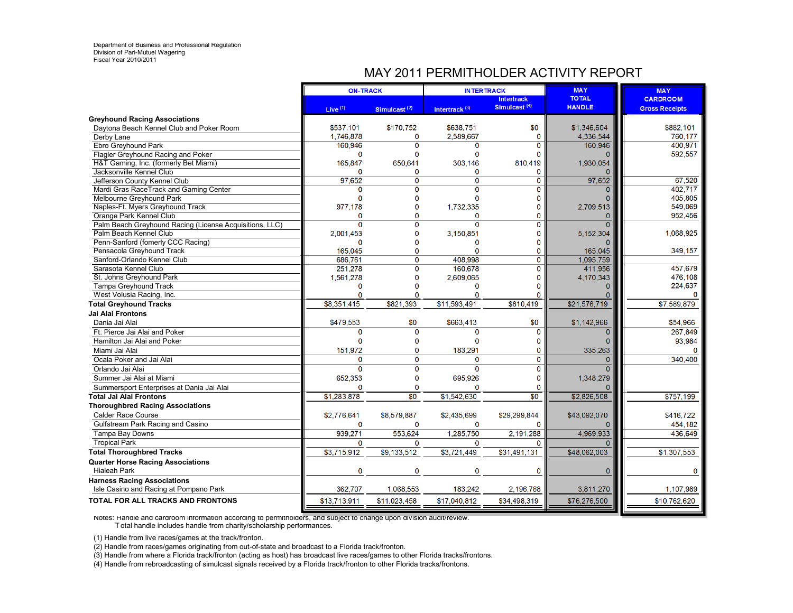## MAY 2011 PERMITHOLDER ACTIVITY REPORT

|                                                         | <b>ON-TRACK</b> |                          | <b>INTERTRACK</b>         |                                               | <b>MAY</b>                    | <b>MAY</b>                               |
|---------------------------------------------------------|-----------------|--------------------------|---------------------------|-----------------------------------------------|-------------------------------|------------------------------------------|
|                                                         | Live $(1)$      | Simulcast <sup>(2)</sup> | Intertrack <sup>(3)</sup> | <b>Intertrack</b><br>Simulcast <sup>(4)</sup> | <b>TOTAL</b><br><b>HANDLE</b> | <b>CARDROOM</b><br><b>Gross Receipts</b> |
| <b>Greyhound Racing Associations</b>                    |                 |                          |                           |                                               |                               |                                          |
| Daytona Beach Kennel Club and Poker Room                | \$537,101       | \$170,752                | \$638,751                 | \$0                                           | \$1,346,604                   | \$882,101                                |
| Derby Lane                                              | 1,746,878       | O                        | 2,589,667                 | $\mathbf{0}$                                  | 4,336,544                     | 760,177                                  |
| Ebro Greyhound Park                                     | 160,946         | $\Omega$                 | 0                         | 0                                             | 160,946                       | 400,971                                  |
| Flagler Greyhound Racing and Poker                      | $\mathbf{0}$    | $\mathbf{0}$             | 0                         | $\Omega$                                      | O                             | 592,557                                  |
| H&T Gaming, Inc. (formerly Bet Miami)                   | 165.847         | 650.641                  | 303,146                   | 810.419                                       | 1,930,054                     |                                          |
| Jacksonville Kennel Club                                | 0               | $\Omega$                 | 0                         | 0                                             |                               |                                          |
| Jefferson County Kennel Club                            | 97,652          | $\mathbf{O}$             | $\overline{0}$            | $\overline{0}$                                | 97,652                        | 67,520                                   |
| Mardi Gras RaceTrack and Gaming Center                  | O               | $\overline{0}$           | $\overline{0}$            | $\overline{0}$                                | $\Omega$                      | 402.717                                  |
| Melbourne Greyhound Park                                | n               | 0                        | n                         | O                                             | n                             | 405,805                                  |
| Naples-Ft. Myers Greyhound Track                        | 977,178         | 0                        | 1,732,335                 | $\bf{0}$                                      | 2,709,513                     | 549,069                                  |
| Orange Park Kennel Club                                 | n               | O                        | O                         | $\Omega$                                      | $\Omega$                      | 952,456                                  |
| Palm Beach Greyhound Racing (License Acquisitions, LLC) | $\Omega$        | Ő                        | $\Omega$                  | $\Omega$                                      | $\overline{0}$                |                                          |
| Palm Beach Kennel Club                                  | 2,001,453       | $\mathbf 0$              | 3,150,851                 | $\Omega$                                      | 5,152,304                     | 1,068,925                                |
| Penn-Sanford (fomerly CCC Racing)                       | $\mathbf 0$     | O                        | 0                         | 0                                             |                               |                                          |
| Pensacola Greyhound Track                               | 165.045         | n                        | 0                         | 0                                             | 165,045                       | 349,157                                  |
| Sanford-Orlando Kennel Club                             | 686.761         | $\mathbf 0$              | 408,998                   | $\mathbf{0}$                                  | 1,095,759                     |                                          |
| Sarasota Kennel Club                                    | 251,278         | Ō                        | 160,678                   | $\overline{0}$                                | 411,956                       | 457,679                                  |
| St. Johns Greyhound Park                                | 1,561,278       | $\mathbf{0}$             | 2,609,065                 | $\Omega$                                      | 4,170,343                     | 476,108                                  |
| <b>Tampa Greyhound Track</b>                            | $\Omega$        | $\Omega$                 | O                         | $\Omega$                                      | O                             | 224,637                                  |
| West Volusia Racing, Inc.                               | 0               | O                        | $\Omega$                  | O                                             | $\Omega$                      | $\mathbf{0}$                             |
| <b>Total Greyhound Tracks</b>                           | \$8,351,415     | \$821.393                | \$11.593.491              | \$810.419                                     | \$21,576,719                  | \$7,589,879                              |
| Jai Alai Frontons                                       |                 |                          |                           |                                               |                               |                                          |
| Dania Jai Alai                                          | \$479,553       | \$0                      | \$663,413                 | \$0                                           | \$1,142,966                   | \$54,966                                 |
| Ft. Pierce Jai Alai and Poker                           | $\mathbf{0}$    | $\mathbf{0}$             | 0                         | $\mathbf 0$                                   | $\overline{0}$                | 267.849                                  |
| Hamilton Jai Alai and Poker                             | $\Omega$        | $\Omega$                 | $\Omega$                  | $\mathbf 0$                                   | $\Omega$                      | 93,984                                   |
| Miami Jai Alai                                          | 151,972         | $\mathbf 0$              | 183,291                   | 0                                             | 335,263                       | O                                        |
| Ocala Poker and Jai Alai                                | $\Omega$        | $\Omega$                 | 0                         | 0                                             | $\overline{0}$                | 340,400                                  |
| Orlando Jai Alai                                        | $\mathbf{0}$    | $\mathbf{O}$             | 0                         | $\mathbf{0}$                                  | $\overline{0}$                |                                          |
| Summer Jai Alai at Miami                                | 652.353         | $\Omega$                 | 695,926                   | $\Omega$                                      | 1,348,279                     |                                          |
| Summersport Enterprises at Dania Jai Alai               | $\Omega$        | $\mathbf 0$              | 0                         | $\Omega$                                      |                               |                                          |
| Total Jai Alai Frontons                                 | \$1,283,878     | \$0                      | \$1,542,630               | \$0                                           | \$2,826,508                   | \$757,199                                |
| <b>Thoroughbred Racing Associations</b>                 |                 |                          |                           |                                               |                               |                                          |
| <b>Calder Race Course</b>                               | \$2,776,641     | \$8,579,887              | \$2,435,699               | \$29,299,844                                  | \$43,092,070                  | \$416,722                                |
| Gulfstream Park Racing and Casino                       | $\mathbf 0$     | $\mathbf 0$              | $\mathbf 0$               | $\mathbf 0$                                   | O                             | 454,182                                  |
| Tampa Bay Downs                                         | 939,271         | 553,624                  | 1,285,750                 | 2.191.288                                     | 4,969,933                     | 436,649                                  |
| <b>Tropical Park</b>                                    | 0               | 0                        | 0                         | $\Omega$                                      |                               |                                          |
| <b>Total Thoroughbred Tracks</b>                        | \$3,715,912     | \$9,133,512              | \$3,721,449               | \$31,491,131                                  | \$48,062,003                  | \$1,307,553                              |
| <b>Quarter Horse Racing Associations</b>                |                 |                          |                           |                                               |                               |                                          |
| <b>Hialeah Park</b>                                     | 0               | 0                        | 0                         | 0                                             | 0                             | $\mathbf 0$                              |
| <b>Harness Racing Associations</b>                      |                 |                          |                           |                                               |                               |                                          |
| Isle Casino and Racing at Pompano Park                  | 362,707         | 1,068,553                | 183,242                   | 2,196,768                                     | 3,811,270                     | 1,107,989                                |
| TOTAL FOR ALL TRACKS AND FRONTONS                       | \$13,713,911    | \$11,023,458             | \$17,040,812              | \$34,498,319                                  | \$76,276,500                  | \$10,762,620                             |

Notes: Handle and cardroom information according to permitholders, and subject to change upon division audit/review. T otal handle includes handle from charity/scholarship performances.

(1) Handle from live races/games at the track/fronton.

(2) Handle from races/games originating from out-of-state and broadcast to a Florida track/fronton.

(3) Handle from where a Florida track/fronton (acting as host) has broadcast live races/games to other Florida tracks/frontons.